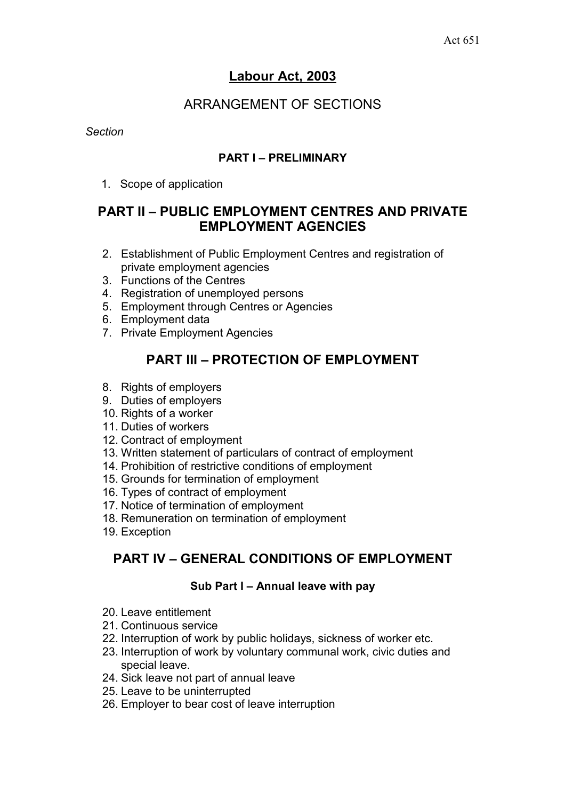# **Labour Act, 2003**

# ARRANGEMENT OF SECTIONS

*Section* 

## **PART I – PRELIMINARY**

1. Scope of application

# **PART II – PUBLIC EMPLOYMENT CENTRES AND PRIVATE EMPLOYMENT AGENCIES**

- 2. Establishment of Public Employment Centres and registration of private employment agencies
- 3. Functions of the Centres
- 4. Registration of unemployed persons
- 5. Employment through Centres or Agencies
- 6. Employment data
- 7. Private Employment Agencies

# **PART III – PROTECTION OF EMPLOYMENT**

- 8. Rights of employers
- 9. Duties of employers
- 10. Rights of a worker
- 11. Duties of workers
- 12. Contract of employment
- 13. Written statement of particulars of contract of employment
- 14. Prohibition of restrictive conditions of employment
- 15. Grounds for termination of employment
- 16. Types of contract of employment
- 17. Notice of termination of employment
- 18. Remuneration on termination of employment
- 19. Exception

# **PART IV – GENERAL CONDITIONS OF EMPLOYMENT**

## **Sub Part I – Annual leave with pay**

- 20. Leave entitlement
- 21. Continuous service
- 22. Interruption of work by public holidays, sickness of worker etc.
- 23. Interruption of work by voluntary communal work, civic duties and special leave.
- 24. Sick leave not part of annual leave
- 25. Leave to be uninterrupted
- 26. Employer to bear cost of leave interruption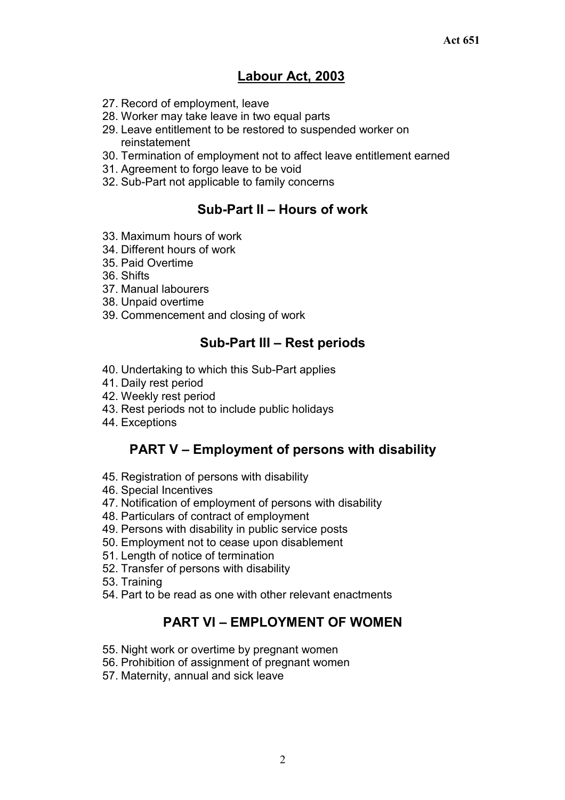# **Labour Act, 2003**

- 27. Record of employment, leave
- 28. Worker may take leave in two equal parts
- 29. Leave entitlement to be restored to suspended worker on reinstatement
- 30. Termination of employment not to affect leave entitlement earned
- 31. Agreement to forgo leave to be void
- 32. Sub-Part not applicable to family concerns

# **Sub-Part II – Hours of work**

- 33. Maximum hours of work
- 34. Different hours of work
- 35. Paid Overtime
- 36. Shifts
- 37. Manual labourers
- 38. Unpaid overtime
- 39. Commencement and closing of work

## **Sub-Part III – Rest periods**

- 40. Undertaking to which this Sub-Part applies
- 41. Daily rest period
- 42. Weekly rest period
- 43. Rest periods not to include public holidays
- 44. Exceptions

# **PART V – Employment of persons with disability**

- 45. Registration of persons with disability
- 46. Special Incentives
- 47. Notification of employment of persons with disability
- 48. Particulars of contract of employment
- 49. Persons with disability in public service posts
- 50. Employment not to cease upon disablement
- 51. Length of notice of termination
- 52. Transfer of persons with disability
- 53. Training
- 54. Part to be read as one with other relevant enactments

# **PART VI – EMPLOYMENT OF WOMEN**

- 55. Night work or overtime by pregnant women
- 56. Prohibition of assignment of pregnant women
- 57. Maternity, annual and sick leave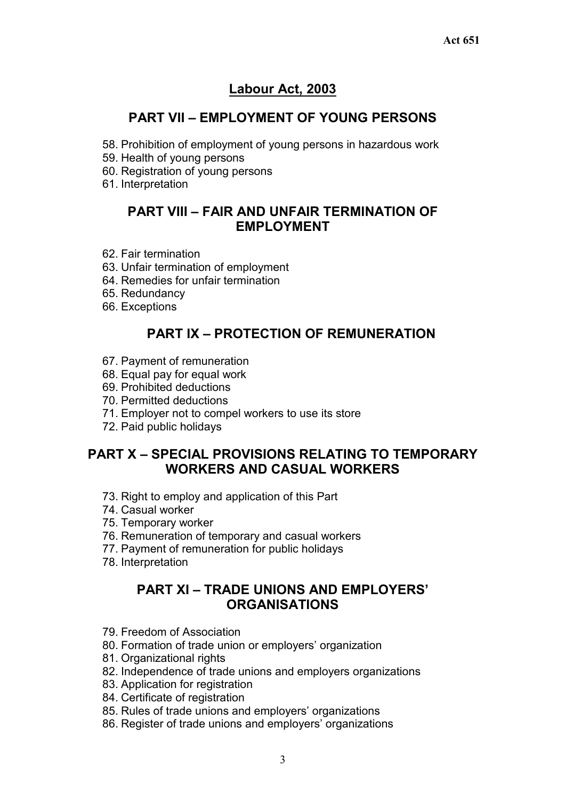# **Labour Act, 2003**

# **PART VII – EMPLOYMENT OF YOUNG PERSONS**

- 58. Prohibition of employment of young persons in hazardous work
- 59. Health of young persons
- 60. Registration of young persons
- 61. Interpretation

# **PART VIII – FAIR AND UNFAIR TERMINATION OF EMPLOYMENT**

- 62. Fair termination
- 63. Unfair termination of employment
- 64. Remedies for unfair termination
- 65. Redundancy
- 66. Exceptions

# **PART IX – PROTECTION OF REMUNERATION**

- 67. Payment of remuneration
- 68. Equal pay for equal work
- 69. Prohibited deductions
- 70. Permitted deductions
- 71. Employer not to compel workers to use its store
- 72. Paid public holidays

# **PART X – SPECIAL PROVISIONS RELATING TO TEMPORARY WORKERS AND CASUAL WORKERS**

- 73. Right to employ and application of this Part
- 74. Casual worker
- 75. Temporary worker
- 76. Remuneration of temporary and casual workers
- 77. Payment of remuneration for public holidays
- 78. Interpretation

# **PART XI – TRADE UNIONS AND EMPLOYERS' ORGANISATIONS**

- 79. Freedom of Association
- 80. Formation of trade union or employers' organization
- 81. Organizational rights
- 82. Independence of trade unions and employers organizations
- 83. Application for registration
- 84. Certificate of registration
- 85. Rules of trade unions and employers' organizations
- 86. Register of trade unions and employers' organizations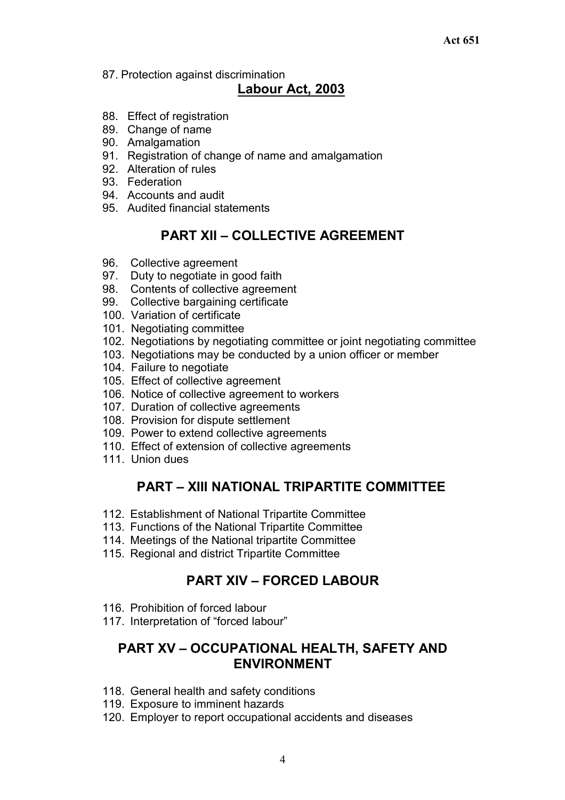87. Protection against discrimination

# **Labour Act, 2003**

- 88. Effect of registration
- 89. Change of name
- 90. Amalgamation
- 91. Registration of change of name and amalgamation
- 92. Alteration of rules
- 93. Federation
- 94. Accounts and audit
- 95. Audited financial statements

# **PART XII – COLLECTIVE AGREEMENT**

- 96. Collective agreement
- 97. Duty to negotiate in good faith
- 98. Contents of collective agreement
- 99. Collective bargaining certificate
- 100. Variation of certificate
- 101. Negotiating committee
- 102. Negotiations by negotiating committee or joint negotiating committee
- 103. Negotiations may be conducted by a union officer or member
- 104. Failure to negotiate
- 105. Effect of collective agreement
- 106. Notice of collective agreement to workers
- 107. Duration of collective agreements
- 108. Provision for dispute settlement
- 109. Power to extend collective agreements
- 110. Effect of extension of collective agreements
- 111. Union dues

# **PART – XIII NATIONAL TRIPARTITE COMMITTEE**

- 112. Establishment of National Tripartite Committee
- 113. Functions of the National Tripartite Committee
- 114. Meetings of the National tripartite Committee
- 115. Regional and district Tripartite Committee

# **PART XIV – FORCED LABOUR**

- 116. Prohibition of forced labour
- 117. Interpretation of "forced labour"

# **PART XV – OCCUPATIONAL HEALTH, SAFETY AND ENVIRONMENT**

- 118. General health and safety conditions
- 119. Exposure to imminent hazards
- 120. Employer to report occupational accidents and diseases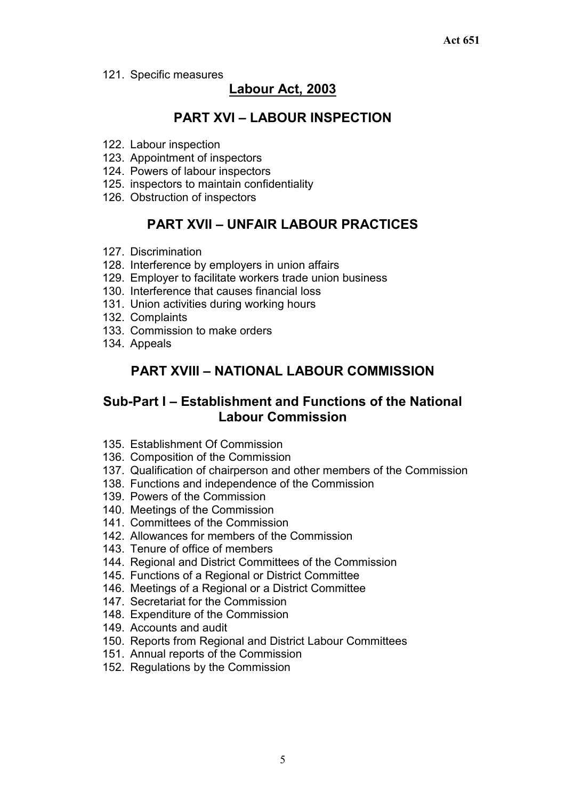121. Specific measures

# **Labour Act, 2003**

# **PART XVI – LABOUR INSPECTION**

- 122. Labour inspection
- 123. Appointment of inspectors
- 124. Powers of labour inspectors
- 125. inspectors to maintain confidentiality
- 126. Obstruction of inspectors

# **PART XVII – UNFAIR LABOUR PRACTICES**

- 127. Discrimination
- 128. Interference by employers in union affairs
- 129. Employer to facilitate workers trade union business
- 130. Interference that causes financial loss
- 131. Union activities during working hours
- 132. Complaints
- 133. Commission to make orders
- 134. Appeals

# **PART XVIII – NATIONAL LABOUR COMMISSION**

# **Sub-Part I – Establishment and Functions of the National Labour Commission**

- 135. Establishment Of Commission
- 136. Composition of the Commission
- 137. Qualification of chairperson and other members of the Commission
- 138. Functions and independence of the Commission
- 139. Powers of the Commission
- 140. Meetings of the Commission
- 141. Committees of the Commission
- 142. Allowances for members of the Commission
- 143. Tenure of office of members
- 144. Regional and District Committees of the Commission
- 145. Functions of a Regional or District Committee
- 146. Meetings of a Regional or a District Committee
- 147. Secretariat for the Commission
- 148. Expenditure of the Commission
- 149. Accounts and audit
- 150. Reports from Regional and District Labour Committees
- 151. Annual reports of the Commission
- 152. Regulations by the Commission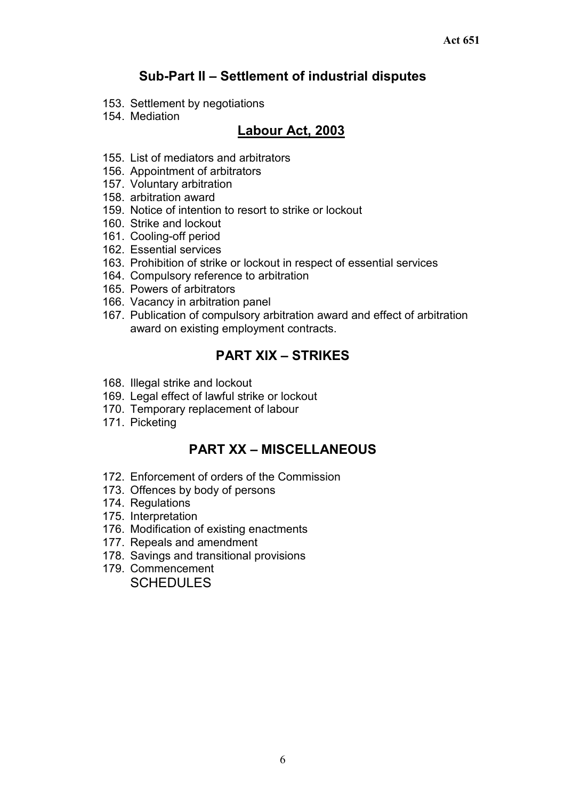# **Sub-Part II – Settlement of industrial disputes**

- 153. Settlement by negotiations
- 154. Mediation

# **Labour Act, 2003**

- 155. List of mediators and arbitrators
- 156. Appointment of arbitrators
- 157. Voluntary arbitration
- 158. arbitration award
- 159. Notice of intention to resort to strike or lockout
- 160. Strike and lockout
- 161. Cooling-off period
- 162. Essential services
- 163. Prohibition of strike or lockout in respect of essential services
- 164. Compulsory reference to arbitration
- 165. Powers of arbitrators
- 166. Vacancy in arbitration panel
- 167. Publication of compulsory arbitration award and effect of arbitration award on existing employment contracts.

# **PART XIX – STRIKES**

- 168. Illegal strike and lockout
- 169. Legal effect of lawful strike or lockout
- 170. Temporary replacement of labour
- 171. Picketing

# **PART XX – MISCELLANEOUS**

- 172. Enforcement of orders of the Commission
- 173. Offences by body of persons
- 174. Regulations
- 175. Interpretation
- 176. Modification of existing enactments
- 177. Repeals and amendment
- 178. Savings and transitional provisions
- 179. Commencement SCHEDULES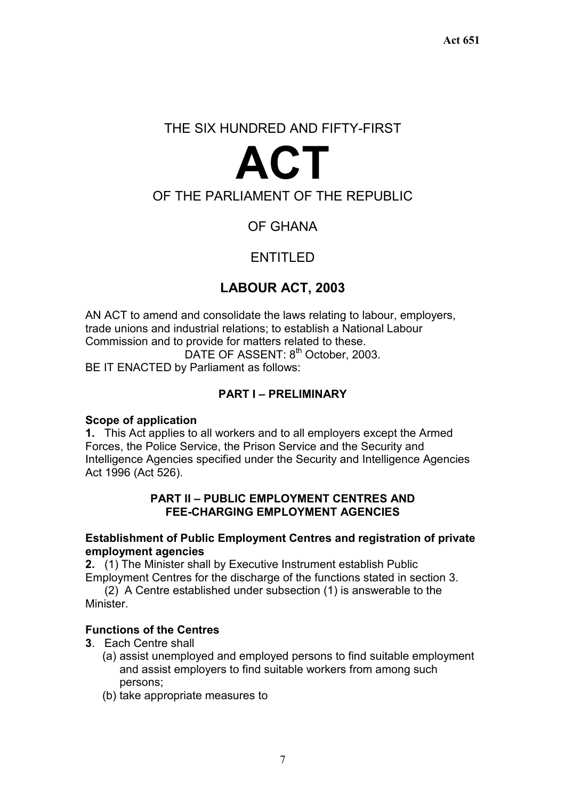# THE SIX HUNDRED AND FIFTY-FIRST

# **ACT**

# OF THE PARLIAMENT OF THE REPUBLIC

# OF GHANA

# ENTITLED

# **LABOUR ACT, 2003**

AN ACT to amend and consolidate the laws relating to labour, employers, trade unions and industrial relations; to establish a National Labour Commission and to provide for matters related to these. DATE OF ASSENT: 8<sup>th</sup> October, 2003.

BE IT ENACTED by Parliament as follows:

## **PART I – PRELIMINARY**

#### **Scope of application**

**1.** This Act applies to all workers and to all employers except the Armed Forces, the Police Service, the Prison Service and the Security and Intelligence Agencies specified under the Security and Intelligence Agencies Act 1996 (Act 526).

#### **PART II – PUBLIC EMPLOYMENT CENTRES AND FEE-CHARGING EMPLOYMENT AGENCIES**

#### **Establishment of Public Employment Centres and registration of private employment agencies**

**2.** (1) The Minister shall by Executive Instrument establish Public Employment Centres for the discharge of the functions stated in section 3.

(2) A Centre established under subsection (1) is answerable to the **Minister** 

## **Functions of the Centres**

- **3**. Each Centre shall
	- (a) assist unemployed and employed persons to find suitable employment and assist employers to find suitable workers from among such persons;
	- (b) take appropriate measures to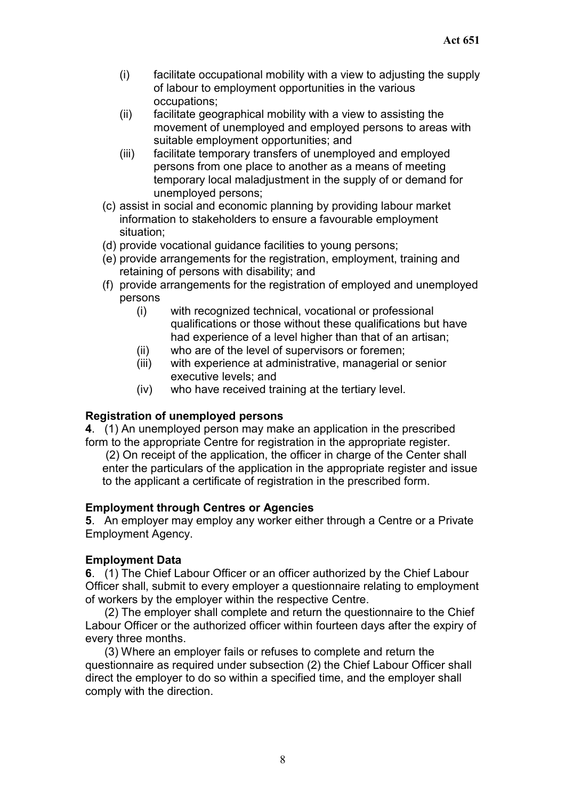- (i) facilitate occupational mobility with a view to adjusting the supply of labour to employment opportunities in the various occupations;
- (ii) facilitate geographical mobility with a view to assisting the movement of unemployed and employed persons to areas with suitable employment opportunities; and
- (iii) facilitate temporary transfers of unemployed and employed persons from one place to another as a means of meeting temporary local maladjustment in the supply of or demand for unemployed persons;
- (c) assist in social and economic planning by providing labour market information to stakeholders to ensure a favourable employment situation;
- (d) provide vocational guidance facilities to young persons;
- (e) provide arrangements for the registration, employment, training and retaining of persons with disability; and
- (f) provide arrangements for the registration of employed and unemployed persons
	- (i) with recognized technical, vocational or professional qualifications or those without these qualifications but have had experience of a level higher than that of an artisan;
	- (ii) who are of the level of supervisors or foremen;
	- (iii) with experience at administrative, managerial or senior executive levels; and
	- (iv) who have received training at the tertiary level.

#### **Registration of unemployed persons**

**4**. (1) An unemployed person may make an application in the prescribed form to the appropriate Centre for registration in the appropriate register.

 (2) On receipt of the application, the officer in charge of the Center shall enter the particulars of the application in the appropriate register and issue to the applicant a certificate of registration in the prescribed form.

#### **Employment through Centres or Agencies**

**5**. An employer may employ any worker either through a Centre or a Private Employment Agency.

## **Employment Data**

**6**. (1) The Chief Labour Officer or an officer authorized by the Chief Labour Officer shall, submit to every employer a questionnaire relating to employment of workers by the employer within the respective Centre.

(2) The employer shall complete and return the questionnaire to the Chief Labour Officer or the authorized officer within fourteen days after the expiry of every three months.

(3) Where an employer fails or refuses to complete and return the questionnaire as required under subsection (2) the Chief Labour Officer shall direct the employer to do so within a specified time, and the employer shall comply with the direction.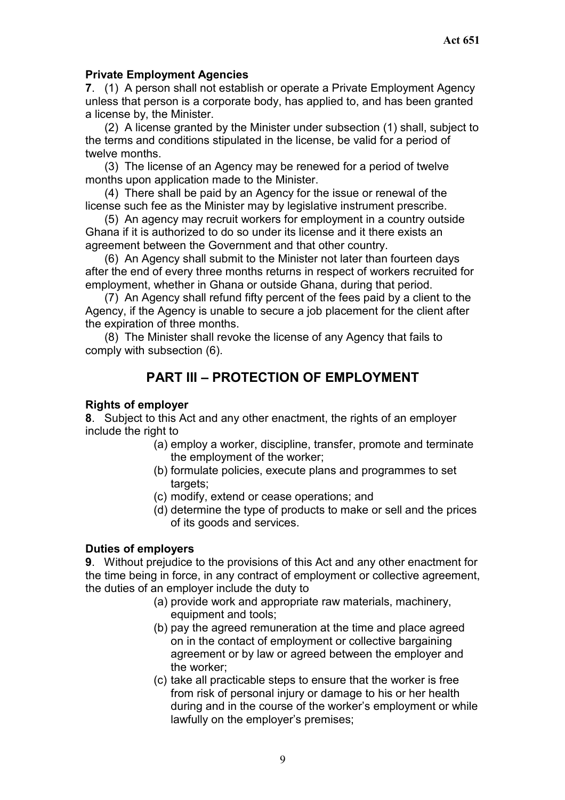## **Private Employment Agencies**

**7**. (1) A person shall not establish or operate a Private Employment Agency unless that person is a corporate body, has applied to, and has been granted a license by, the Minister.

(2) A license granted by the Minister under subsection (1) shall, subject to the terms and conditions stipulated in the license, be valid for a period of twelve months.

(3) The license of an Agency may be renewed for a period of twelve months upon application made to the Minister.

(4) There shall be paid by an Agency for the issue or renewal of the license such fee as the Minister may by legislative instrument prescribe.

(5) An agency may recruit workers for employment in a country outside Ghana if it is authorized to do so under its license and it there exists an agreement between the Government and that other country.

(6) An Agency shall submit to the Minister not later than fourteen days after the end of every three months returns in respect of workers recruited for employment, whether in Ghana or outside Ghana, during that period.

(7) An Agency shall refund fifty percent of the fees paid by a client to the Agency, if the Agency is unable to secure a job placement for the client after the expiration of three months.

(8) The Minister shall revoke the license of any Agency that fails to comply with subsection (6).

# **PART III – PROTECTION OF EMPLOYMENT**

#### **Rights of employer**

**8**. Subject to this Act and any other enactment, the rights of an employer include the right to

- (a) employ a worker, discipline, transfer, promote and terminate the employment of the worker;
- (b) formulate policies, execute plans and programmes to set targets:
- (c) modify, extend or cease operations; and
- (d) determine the type of products to make or sell and the prices of its goods and services.

#### **Duties of employers**

**9**. Without prejudice to the provisions of this Act and any other enactment for the time being in force, in any contract of employment or collective agreement, the duties of an employer include the duty to

- (a) provide work and appropriate raw materials, machinery, equipment and tools;
- (b) pay the agreed remuneration at the time and place agreed on in the contact of employment or collective bargaining agreement or by law or agreed between the employer and the worker;
- (c) take all practicable steps to ensure that the worker is free from risk of personal injury or damage to his or her health during and in the course of the worker's employment or while lawfully on the employer's premises;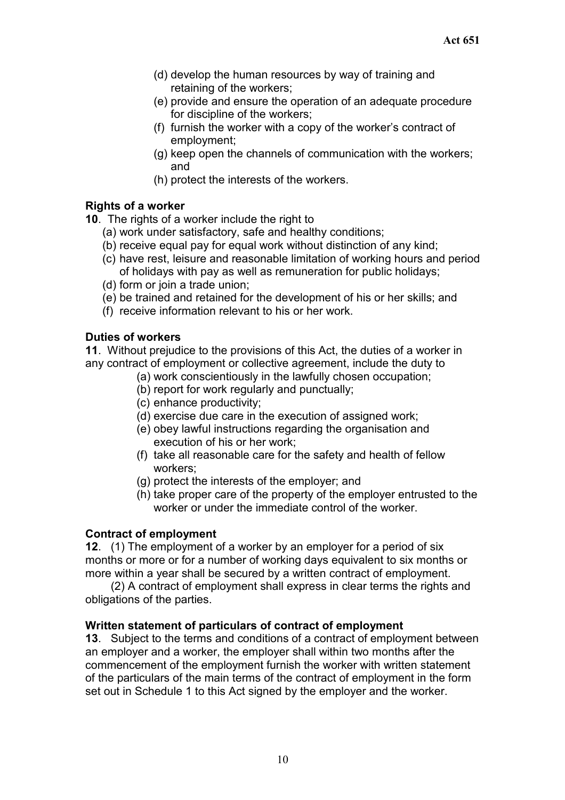- (d) develop the human resources by way of training and retaining of the workers;
- (e) provide and ensure the operation of an adequate procedure for discipline of the workers;
- (f) furnish the worker with a copy of the worker's contract of employment;
- (g) keep open the channels of communication with the workers; and
- (h) protect the interests of the workers.

## **Rights of a worker**

**10**. The rights of a worker include the right to

- (a) work under satisfactory, safe and healthy conditions;
- (b) receive equal pay for equal work without distinction of any kind;
- (c) have rest, leisure and reasonable limitation of working hours and period of holidays with pay as well as remuneration for public holidays;
- (d) form or join a trade union;
- (e) be trained and retained for the development of his or her skills; and
- (f) receive information relevant to his or her work.

## **Duties of workers**

**11**. Without prejudice to the provisions of this Act, the duties of a worker in any contract of employment or collective agreement, include the duty to

- (a) work conscientiously in the lawfully chosen occupation;
- (b) report for work regularly and punctually;
- (c) enhance productivity;
- (d) exercise due care in the execution of assigned work;
- (e) obey lawful instructions regarding the organisation and execution of his or her work;
- (f) take all reasonable care for the safety and health of fellow workers;
- (g) protect the interests of the employer; and
- (h) take proper care of the property of the employer entrusted to the worker or under the immediate control of the worker.

#### **Contract of employment**

**12**. (1) The employment of a worker by an employer for a period of six months or more or for a number of working days equivalent to six months or more within a year shall be secured by a written contract of employment.

(2) A contract of employment shall express in clear terms the rights and obligations of the parties.

## **Written statement of particulars of contract of employment**

**13**. Subject to the terms and conditions of a contract of employment between an employer and a worker, the employer shall within two months after the commencement of the employment furnish the worker with written statement of the particulars of the main terms of the contract of employment in the form set out in Schedule 1 to this Act signed by the employer and the worker.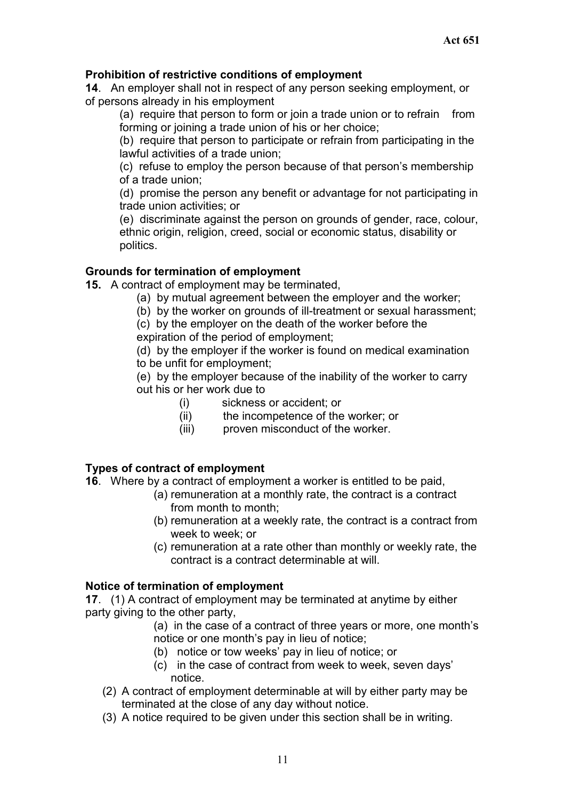## **Prohibition of restrictive conditions of employment**

**14**. An employer shall not in respect of any person seeking employment, or of persons already in his employment

(a) require that person to form or join a trade union or to refrain from forming or joining a trade union of his or her choice;

(b) require that person to participate or refrain from participating in the lawful activities of a trade union;

(c) refuse to employ the person because of that person's membership of a trade union;

(d) promise the person any benefit or advantage for not participating in trade union activities; or

(e) discriminate against the person on grounds of gender, race, colour, ethnic origin, religion, creed, social or economic status, disability or politics.

## **Grounds for termination of employment**

**15.** A contract of employment may be terminated,

- (a) by mutual agreement between the employer and the worker;
- (b) by the worker on grounds of ill-treatment or sexual harassment;

(c) by the employer on the death of the worker before the expiration of the period of employment;

(d) by the employer if the worker is found on medical examination to be unfit for employment;

(e) by the employer because of the inability of the worker to carry out his or her work due to

- (i) sickness or accident; or
- (ii) the incompetence of the worker; or
- (iii) proven misconduct of the worker.

## **Types of contract of employment**

- **16**. Where by a contract of employment a worker is entitled to be paid,
	- (a) remuneration at a monthly rate, the contract is a contract from month to month;
	- (b) remuneration at a weekly rate, the contract is a contract from week to week; or
	- (c) remuneration at a rate other than monthly or weekly rate, the contract is a contract determinable at will.

#### **Notice of termination of employment**

**17**. (1) A contract of employment may be terminated at anytime by either party giving to the other party,

> (a) in the case of a contract of three years or more, one month's notice or one month's pay in lieu of notice;

- (b) notice or tow weeks' pay in lieu of notice; or
- (c) in the case of contract from week to week, seven days' notice.
- (2) A contract of employment determinable at will by either party may be terminated at the close of any day without notice.
- (3) A notice required to be given under this section shall be in writing.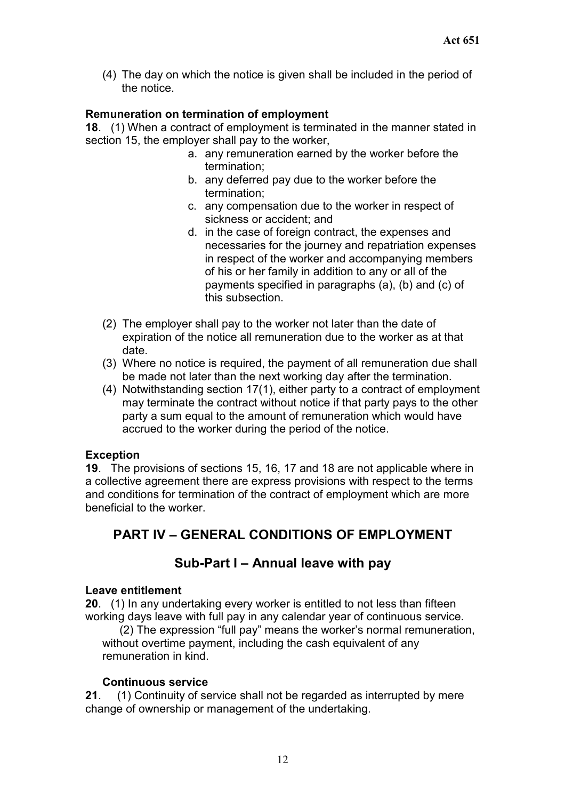(4) The day on which the notice is given shall be included in the period of the notice.

## **Remuneration on termination of employment**

**18**. (1) When a contract of employment is terminated in the manner stated in section 15, the employer shall pay to the worker,

- a. any remuneration earned by the worker before the termination;
- b. any deferred pay due to the worker before the termination;
- c. any compensation due to the worker in respect of sickness or accident; and
- d. in the case of foreign contract, the expenses and necessaries for the journey and repatriation expenses in respect of the worker and accompanying members of his or her family in addition to any or all of the payments specified in paragraphs (a), (b) and (c) of this subsection.
- (2) The employer shall pay to the worker not later than the date of expiration of the notice all remuneration due to the worker as at that date.
- (3) Where no notice is required, the payment of all remuneration due shall be made not later than the next working day after the termination.
- (4) Notwithstanding section 17(1), either party to a contract of employment may terminate the contract without notice if that party pays to the other party a sum equal to the amount of remuneration which would have accrued to the worker during the period of the notice.

#### **Exception**

**19**. The provisions of sections 15, 16, 17 and 18 are not applicable where in a collective agreement there are express provisions with respect to the terms and conditions for termination of the contract of employment which are more beneficial to the worker.

# **PART IV – GENERAL CONDITIONS OF EMPLOYMENT**

# **Sub-Part I – Annual leave with pay**

#### **Leave entitlement**

**20**. (1) In any undertaking every worker is entitled to not less than fifteen working days leave with full pay in any calendar year of continuous service.

(2) The expression "full pay" means the worker's normal remuneration, without overtime payment, including the cash equivalent of any remuneration in kind.

#### **Continuous service**

**21**. (1) Continuity of service shall not be regarded as interrupted by mere change of ownership or management of the undertaking.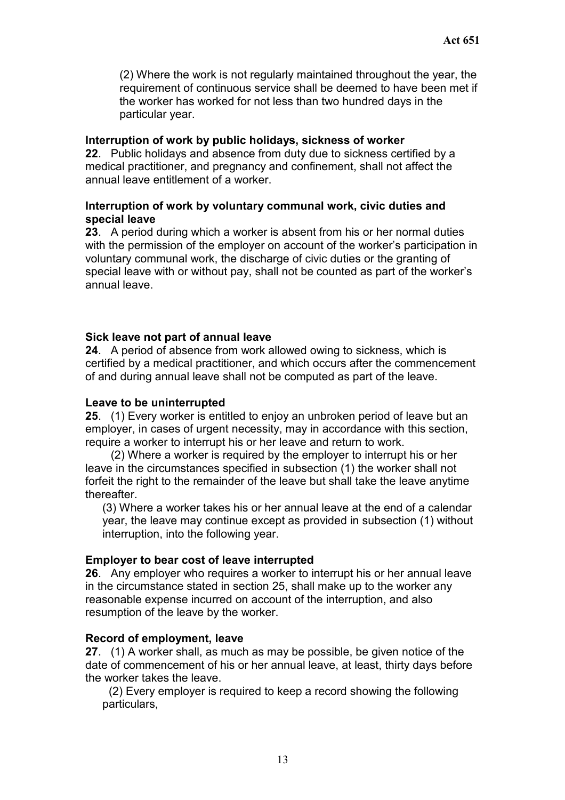(2) Where the work is not regularly maintained throughout the year, the requirement of continuous service shall be deemed to have been met if the worker has worked for not less than two hundred days in the particular year.

#### **Interruption of work by public holidays, sickness of worker**

**22**. Public holidays and absence from duty due to sickness certified by a medical practitioner, and pregnancy and confinement, shall not affect the annual leave entitlement of a worker.

#### **Interruption of work by voluntary communal work, civic duties and special leave**

**23**. A period during which a worker is absent from his or her normal duties with the permission of the employer on account of the worker's participation in voluntary communal work, the discharge of civic duties or the granting of special leave with or without pay, shall not be counted as part of the worker's annual leave.

#### **Sick leave not part of annual leave**

**24**. A period of absence from work allowed owing to sickness, which is certified by a medical practitioner, and which occurs after the commencement of and during annual leave shall not be computed as part of the leave.

#### **Leave to be uninterrupted**

**25**. (1) Every worker is entitled to enjoy an unbroken period of leave but an employer, in cases of urgent necessity, may in accordance with this section, require a worker to interrupt his or her leave and return to work.

(2) Where a worker is required by the employer to interrupt his or her leave in the circumstances specified in subsection (1) the worker shall not forfeit the right to the remainder of the leave but shall take the leave anytime thereafter.

(3) Where a worker takes his or her annual leave at the end of a calendar year, the leave may continue except as provided in subsection (1) without interruption, into the following year.

#### **Employer to bear cost of leave interrupted**

**26**. Any employer who requires a worker to interrupt his or her annual leave in the circumstance stated in section 25, shall make up to the worker any reasonable expense incurred on account of the interruption, and also resumption of the leave by the worker.

#### **Record of employment, leave**

**27**. (1) A worker shall, as much as may be possible, be given notice of the date of commencement of his or her annual leave, at least, thirty days before the worker takes the leave.

(2) Every employer is required to keep a record showing the following particulars,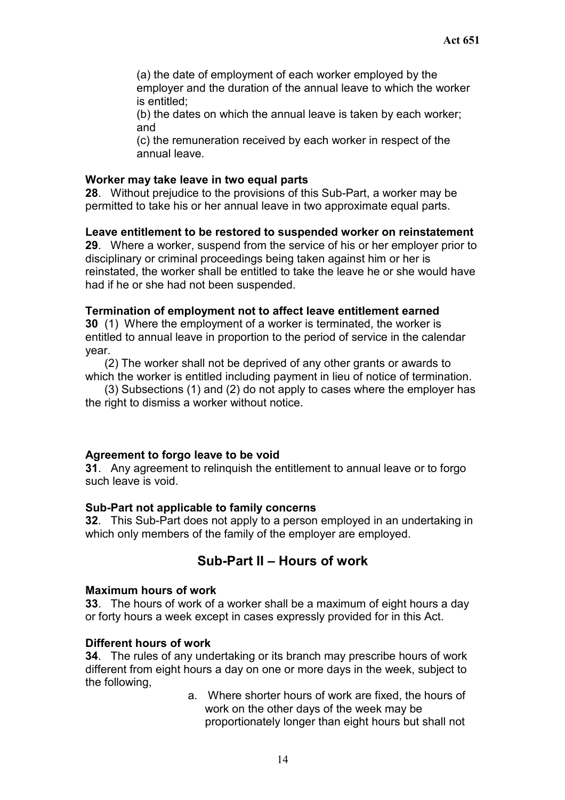(a) the date of employment of each worker employed by the employer and the duration of the annual leave to which the worker is entitled;

(b) the dates on which the annual leave is taken by each worker; and

(c) the remuneration received by each worker in respect of the annual leave.

#### **Worker may take leave in two equal parts**

**28**. Without prejudice to the provisions of this Sub-Part, a worker may be permitted to take his or her annual leave in two approximate equal parts.

#### **Leave entitlement to be restored to suspended worker on reinstatement**

**29**. Where a worker, suspend from the service of his or her employer prior to disciplinary or criminal proceedings being taken against him or her is reinstated, the worker shall be entitled to take the leave he or she would have had if he or she had not been suspended.

#### **Termination of employment not to affect leave entitlement earned**

**30** (1) Where the employment of a worker is terminated, the worker is entitled to annual leave in proportion to the period of service in the calendar year.

(2) The worker shall not be deprived of any other grants or awards to which the worker is entitled including payment in lieu of notice of termination.

(3) Subsections (1) and (2) do not apply to cases where the employer has the right to dismiss a worker without notice.

#### **Agreement to forgo leave to be void**

**31**. Any agreement to relinquish the entitlement to annual leave or to forgo such leave is void.

#### **Sub-Part not applicable to family concerns**

**32**. This Sub-Part does not apply to a person employed in an undertaking in which only members of the family of the employer are employed.

# **Sub-Part II – Hours of work**

#### **Maximum hours of work**

**33**. The hours of work of a worker shall be a maximum of eight hours a day or forty hours a week except in cases expressly provided for in this Act.

#### **Different hours of work**

**34**. The rules of any undertaking or its branch may prescribe hours of work different from eight hours a day on one or more days in the week, subject to the following,

> a. Where shorter hours of work are fixed, the hours of work on the other days of the week may be proportionately longer than eight hours but shall not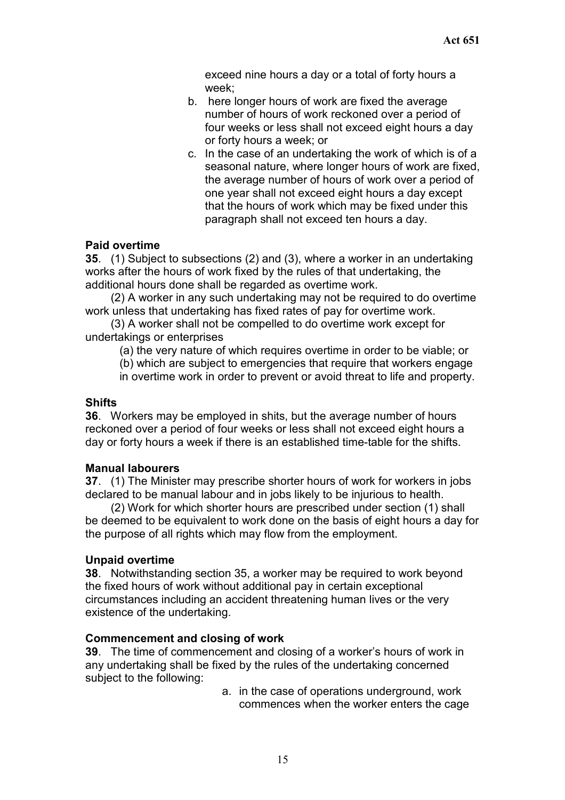exceed nine hours a day or a total of forty hours a week;

- b. here longer hours of work are fixed the average number of hours of work reckoned over a period of four weeks or less shall not exceed eight hours a day or forty hours a week; or
- c. In the case of an undertaking the work of which is of a seasonal nature, where longer hours of work are fixed, the average number of hours of work over a period of one year shall not exceed eight hours a day except that the hours of work which may be fixed under this paragraph shall not exceed ten hours a day.

## **Paid overtime**

**35**. (1) Subject to subsections (2) and (3), where a worker in an undertaking works after the hours of work fixed by the rules of that undertaking, the additional hours done shall be regarded as overtime work.

(2) A worker in any such undertaking may not be required to do overtime work unless that undertaking has fixed rates of pay for overtime work.

(3) A worker shall not be compelled to do overtime work except for undertakings or enterprises

(a) the very nature of which requires overtime in order to be viable; or

(b) which are subject to emergencies that require that workers engage

in overtime work in order to prevent or avoid threat to life and property.

#### **Shifts**

**36**. Workers may be employed in shits, but the average number of hours reckoned over a period of four weeks or less shall not exceed eight hours a day or forty hours a week if there is an established time-table for the shifts.

#### **Manual labourers**

**37**. (1) The Minister may prescribe shorter hours of work for workers in jobs declared to be manual labour and in jobs likely to be injurious to health.

(2) Work for which shorter hours are prescribed under section (1) shall be deemed to be equivalent to work done on the basis of eight hours a day for the purpose of all rights which may flow from the employment.

#### **Unpaid overtime**

**38**. Notwithstanding section 35, a worker may be required to work beyond the fixed hours of work without additional pay in certain exceptional circumstances including an accident threatening human lives or the very existence of the undertaking.

#### **Commencement and closing of work**

**39**. The time of commencement and closing of a worker's hours of work in any undertaking shall be fixed by the rules of the undertaking concerned subject to the following:

> a. in the case of operations underground, work commences when the worker enters the cage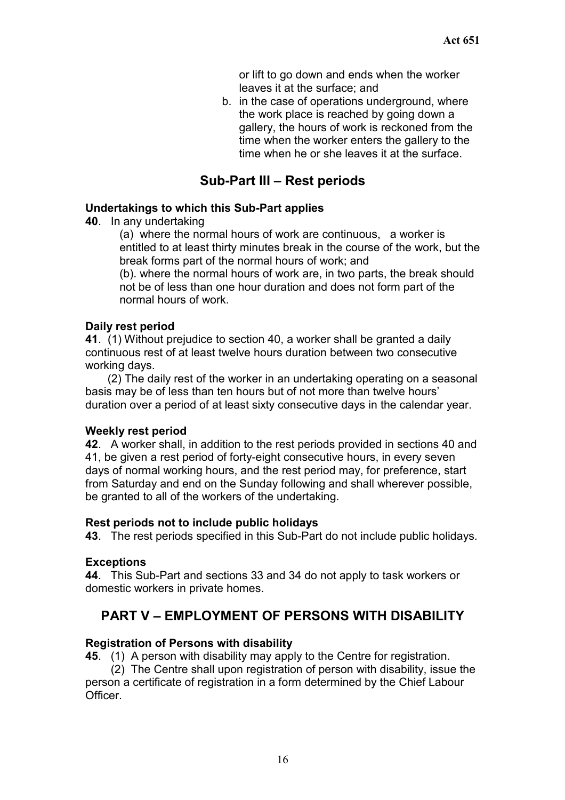or lift to go down and ends when the worker leaves it at the surface; and

b. in the case of operations underground, where the work place is reached by going down a gallery, the hours of work is reckoned from the time when the worker enters the gallery to the time when he or she leaves it at the surface.

# **Sub-Part III – Rest periods**

#### **Undertakings to which this Sub-Part applies**

**40**. In any undertaking

(a) where the normal hours of work are continuous, a worker is entitled to at least thirty minutes break in the course of the work, but the break forms part of the normal hours of work; and

(b). where the normal hours of work are, in two parts, the break should not be of less than one hour duration and does not form part of the normal hours of work.

#### **Daily rest period**

**41**. (1) Without prejudice to section 40, a worker shall be granted a daily continuous rest of at least twelve hours duration between two consecutive working days.

(2) The daily rest of the worker in an undertaking operating on a seasonal basis may be of less than ten hours but of not more than twelve hours' duration over a period of at least sixty consecutive days in the calendar year.

#### **Weekly rest period**

**42**. A worker shall, in addition to the rest periods provided in sections 40 and 41, be given a rest period of forty-eight consecutive hours, in every seven days of normal working hours, and the rest period may, for preference, start from Saturday and end on the Sunday following and shall wherever possible, be granted to all of the workers of the undertaking.

#### **Rest periods not to include public holidays**

**43**. The rest periods specified in this Sub-Part do not include public holidays.

## **Exceptions**

**44**. This Sub-Part and sections 33 and 34 do not apply to task workers or domestic workers in private homes.

# **PART V – EMPLOYMENT OF PERSONS WITH DISABILITY**

#### **Registration of Persons with disability**

**45**. (1) A person with disability may apply to the Centre for registration.

(2) The Centre shall upon registration of person with disability, issue the person a certificate of registration in a form determined by the Chief Labour **Officer**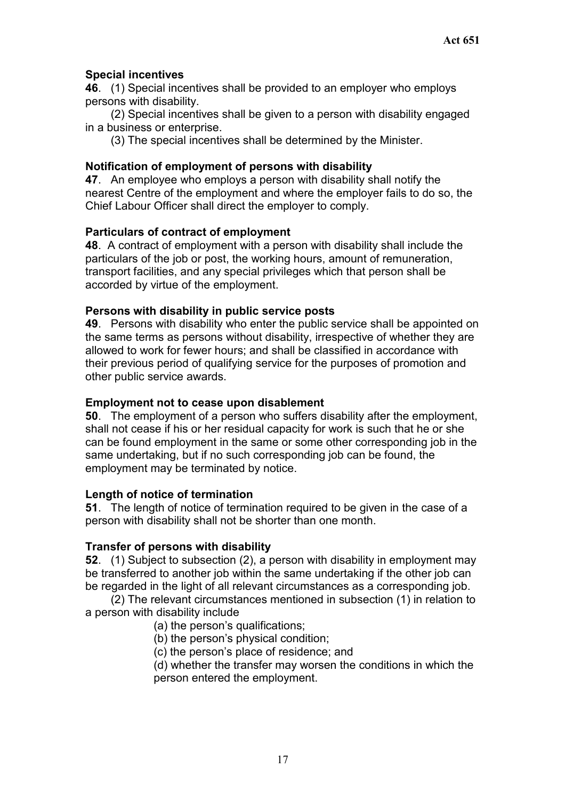## **Special incentives**

**46**. (1) Special incentives shall be provided to an employer who employs persons with disability.

(2) Special incentives shall be given to a person with disability engaged in a business or enterprise.

(3) The special incentives shall be determined by the Minister.

#### **Notification of employment of persons with disability**

**47**. An employee who employs a person with disability shall notify the nearest Centre of the employment and where the employer fails to do so, the Chief Labour Officer shall direct the employer to comply.

#### **Particulars of contract of employment**

**48**. A contract of employment with a person with disability shall include the particulars of the job or post, the working hours, amount of remuneration, transport facilities, and any special privileges which that person shall be accorded by virtue of the employment.

#### **Persons with disability in public service posts**

**49**. Persons with disability who enter the public service shall be appointed on the same terms as persons without disability, irrespective of whether they are allowed to work for fewer hours; and shall be classified in accordance with their previous period of qualifying service for the purposes of promotion and other public service awards.

#### **Employment not to cease upon disablement**

**50**. The employment of a person who suffers disability after the employment, shall not cease if his or her residual capacity for work is such that he or she can be found employment in the same or some other corresponding job in the same undertaking, but if no such corresponding job can be found, the employment may be terminated by notice.

#### **Length of notice of termination**

**51**. The length of notice of termination required to be given in the case of a person with disability shall not be shorter than one month.

#### **Transfer of persons with disability**

**52**. (1) Subject to subsection (2), a person with disability in employment may be transferred to another job within the same undertaking if the other job can be regarded in the light of all relevant circumstances as a corresponding job.

(2) The relevant circumstances mentioned in subsection (1) in relation to a person with disability include

- (a) the person's qualifications;
- (b) the person's physical condition;
- (c) the person's place of residence; and
- (d) whether the transfer may worsen the conditions in which the person entered the employment.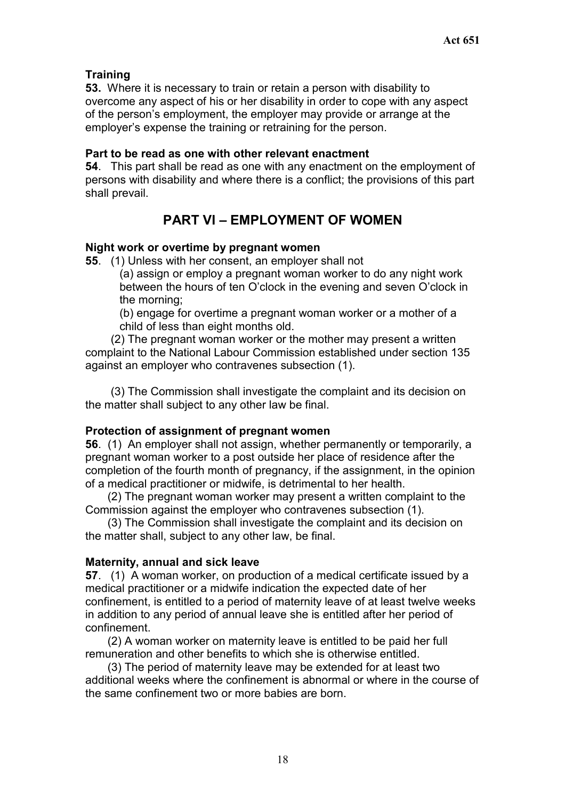## **Training**

**53.** Where it is necessary to train or retain a person with disability to overcome any aspect of his or her disability in order to cope with any aspect of the person's employment, the employer may provide or arrange at the employer's expense the training or retraining for the person.

## **Part to be read as one with other relevant enactment**

**54**. This part shall be read as one with any enactment on the employment of persons with disability and where there is a conflict; the provisions of this part shall prevail.

# **PART VI – EMPLOYMENT OF WOMEN**

## **Night work or overtime by pregnant women**

**55**. (1) Unless with her consent, an employer shall not

(a) assign or employ a pregnant woman worker to do any night work between the hours of ten O'clock in the evening and seven O'clock in the morning;

(b) engage for overtime a pregnant woman worker or a mother of a child of less than eight months old.

(2) The pregnant woman worker or the mother may present a written complaint to the National Labour Commission established under section 135 against an employer who contravenes subsection (1).

(3) The Commission shall investigate the complaint and its decision on the matter shall subject to any other law be final.

#### **Protection of assignment of pregnant women**

**56**. (1) An employer shall not assign, whether permanently or temporarily, a pregnant woman worker to a post outside her place of residence after the completion of the fourth month of pregnancy, if the assignment, in the opinion of a medical practitioner or midwife, is detrimental to her health.

(2) The pregnant woman worker may present a written complaint to the Commission against the employer who contravenes subsection (1).

(3) The Commission shall investigate the complaint and its decision on the matter shall, subject to any other law, be final.

## **Maternity, annual and sick leave**

**57**. (1) A woman worker, on production of a medical certificate issued by a medical practitioner or a midwife indication the expected date of her confinement, is entitled to a period of maternity leave of at least twelve weeks in addition to any period of annual leave she is entitled after her period of confinement.

(2) A woman worker on maternity leave is entitled to be paid her full remuneration and other benefits to which she is otherwise entitled.

(3) The period of maternity leave may be extended for at least two additional weeks where the confinement is abnormal or where in the course of the same confinement two or more babies are born.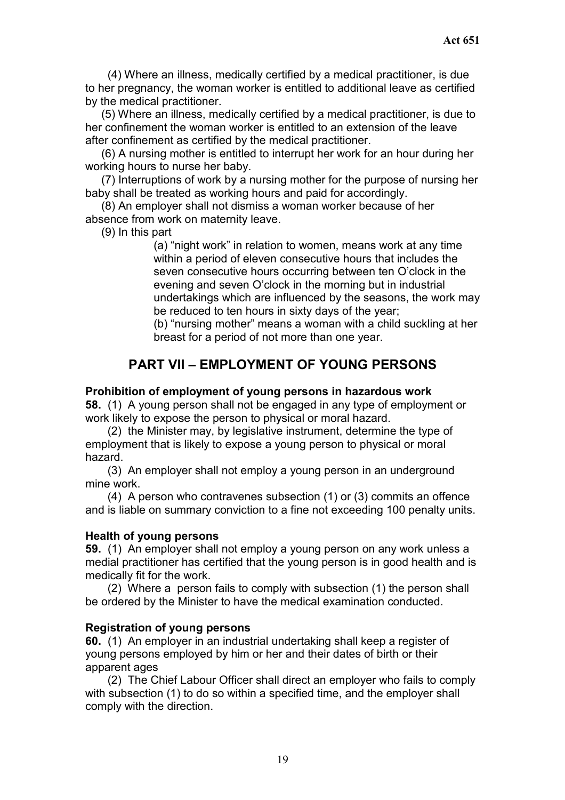(4) Where an illness, medically certified by a medical practitioner, is due to her pregnancy, the woman worker is entitled to additional leave as certified by the medical practitioner.

(5) Where an illness, medically certified by a medical practitioner, is due to her confinement the woman worker is entitled to an extension of the leave after confinement as certified by the medical practitioner.

(6) A nursing mother is entitled to interrupt her work for an hour during her working hours to nurse her baby.

(7) Interruptions of work by a nursing mother for the purpose of nursing her baby shall be treated as working hours and paid for accordingly.

(8) An employer shall not dismiss a woman worker because of her absence from work on maternity leave.

(9) In this part

(a) "night work" in relation to women, means work at any time within a period of eleven consecutive hours that includes the seven consecutive hours occurring between ten O'clock in the evening and seven O'clock in the morning but in industrial undertakings which are influenced by the seasons, the work may be reduced to ten hours in sixty days of the year;

(b) "nursing mother" means a woman with a child suckling at her breast for a period of not more than one year.

# **PART VII – EMPLOYMENT OF YOUNG PERSONS**

#### **Prohibition of employment of young persons in hazardous work**

**58.** (1) A young person shall not be engaged in any type of employment or work likely to expose the person to physical or moral hazard.

(2) the Minister may, by legislative instrument, determine the type of employment that is likely to expose a young person to physical or moral hazard.

(3) An employer shall not employ a young person in an underground mine work.

(4) A person who contravenes subsection (1) or (3) commits an offence and is liable on summary conviction to a fine not exceeding 100 penalty units.

#### **Health of young persons**

**59.** (1) An employer shall not employ a young person on any work unless a medial practitioner has certified that the young person is in good health and is medically fit for the work.

(2) Where a person fails to comply with subsection (1) the person shall be ordered by the Minister to have the medical examination conducted.

#### **Registration of young persons**

**60.** (1) An employer in an industrial undertaking shall keep a register of young persons employed by him or her and their dates of birth or their apparent ages

(2) The Chief Labour Officer shall direct an employer who fails to comply with subsection (1) to do so within a specified time, and the employer shall comply with the direction.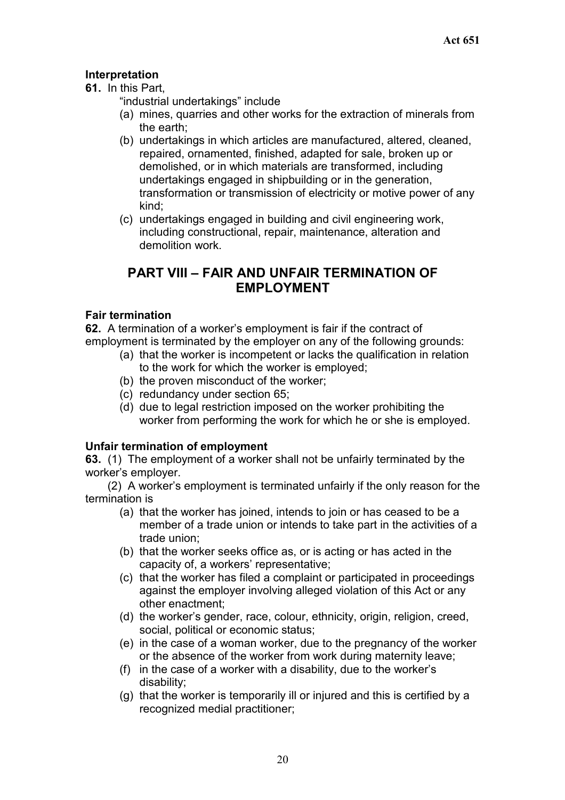## **Interpretation**

**61.** In this Part,

"industrial undertakings" include

- (a) mines, quarries and other works for the extraction of minerals from the earth;
- (b) undertakings in which articles are manufactured, altered, cleaned, repaired, ornamented, finished, adapted for sale, broken up or demolished, or in which materials are transformed, including undertakings engaged in shipbuilding or in the generation, transformation or transmission of electricity or motive power of any kind;
- (c) undertakings engaged in building and civil engineering work, including constructional, repair, maintenance, alteration and demolition work.

# **PART VIII – FAIR AND UNFAIR TERMINATION OF EMPLOYMENT**

## **Fair termination**

**62.** A termination of a worker's employment is fair if the contract of employment is terminated by the employer on any of the following grounds:

- (a) that the worker is incompetent or lacks the qualification in relation to the work for which the worker is employed;
- (b) the proven misconduct of the worker;
- (c) redundancy under section 65;
- (d) due to legal restriction imposed on the worker prohibiting the worker from performing the work for which he or she is employed.

## **Unfair termination of employment**

**63.** (1) The employment of a worker shall not be unfairly terminated by the worker's employer.

(2) A worker's employment is terminated unfairly if the only reason for the termination is

- (a) that the worker has joined, intends to join or has ceased to be a member of a trade union or intends to take part in the activities of a trade union;
- (b) that the worker seeks office as, or is acting or has acted in the capacity of, a workers' representative;
- (c) that the worker has filed a complaint or participated in proceedings against the employer involving alleged violation of this Act or any other enactment;
- (d) the worker's gender, race, colour, ethnicity, origin, religion, creed, social, political or economic status;
- (e) in the case of a woman worker, due to the pregnancy of the worker or the absence of the worker from work during maternity leave;
- (f) in the case of a worker with a disability, due to the worker's disability;
- (g) that the worker is temporarily ill or injured and this is certified by a recognized medial practitioner;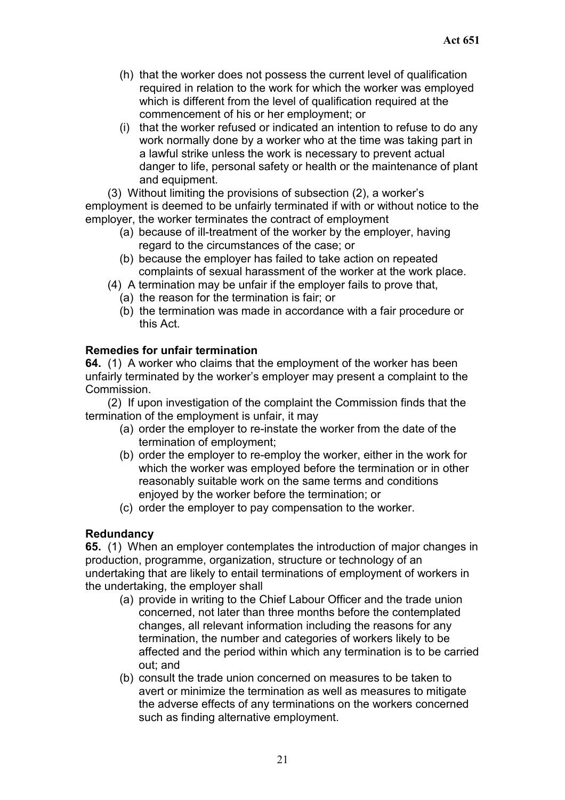- (h) that the worker does not possess the current level of qualification required in relation to the work for which the worker was employed which is different from the level of qualification required at the commencement of his or her employment; or
- (i) that the worker refused or indicated an intention to refuse to do any work normally done by a worker who at the time was taking part in a lawful strike unless the work is necessary to prevent actual danger to life, personal safety or health or the maintenance of plant and equipment.

(3) Without limiting the provisions of subsection (2), a worker's employment is deemed to be unfairly terminated if with or without notice to the employer, the worker terminates the contract of employment

- (a) because of ill-treatment of the worker by the employer, having regard to the circumstances of the case; or
- (b) because the employer has failed to take action on repeated complaints of sexual harassment of the worker at the work place.
- (4) A termination may be unfair if the employer fails to prove that,
	- (a) the reason for the termination is fair; or
	- (b) the termination was made in accordance with a fair procedure or this Act.

## **Remedies for unfair termination**

**64.** (1) A worker who claims that the employment of the worker has been unfairly terminated by the worker's employer may present a complaint to the Commission.

(2) If upon investigation of the complaint the Commission finds that the termination of the employment is unfair, it may

- (a) order the employer to re-instate the worker from the date of the termination of employment;
- (b) order the employer to re-employ the worker, either in the work for which the worker was employed before the termination or in other reasonably suitable work on the same terms and conditions enjoyed by the worker before the termination; or
- (c) order the employer to pay compensation to the worker.

## **Redundancy**

**65.** (1) When an employer contemplates the introduction of major changes in production, programme, organization, structure or technology of an undertaking that are likely to entail terminations of employment of workers in the undertaking, the employer shall

- (a) provide in writing to the Chief Labour Officer and the trade union concerned, not later than three months before the contemplated changes, all relevant information including the reasons for any termination, the number and categories of workers likely to be affected and the period within which any termination is to be carried out; and
- (b) consult the trade union concerned on measures to be taken to avert or minimize the termination as well as measures to mitigate the adverse effects of any terminations on the workers concerned such as finding alternative employment.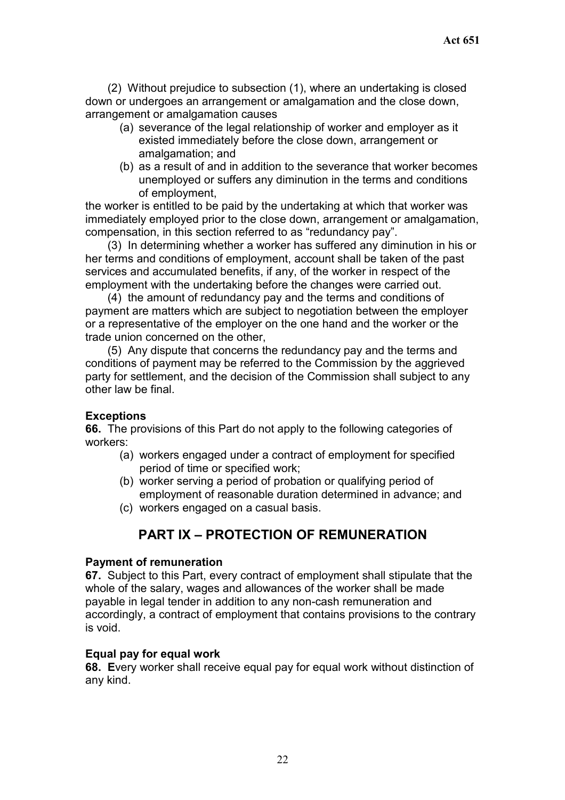(2) Without prejudice to subsection (1), where an undertaking is closed down or undergoes an arrangement or amalgamation and the close down, arrangement or amalgamation causes

- (a) severance of the legal relationship of worker and employer as it existed immediately before the close down, arrangement or amalgamation; and
- (b) as a result of and in addition to the severance that worker becomes unemployed or suffers any diminution in the terms and conditions of employment,

the worker is entitled to be paid by the undertaking at which that worker was immediately employed prior to the close down, arrangement or amalgamation, compensation, in this section referred to as "redundancy pay".

(3) In determining whether a worker has suffered any diminution in his or her terms and conditions of employment, account shall be taken of the past services and accumulated benefits, if any, of the worker in respect of the employment with the undertaking before the changes were carried out.

(4) the amount of redundancy pay and the terms and conditions of payment are matters which are subject to negotiation between the employer or a representative of the employer on the one hand and the worker or the trade union concerned on the other,

(5) Any dispute that concerns the redundancy pay and the terms and conditions of payment may be referred to the Commission by the aggrieved party for settlement, and the decision of the Commission shall subject to any other law be final.

#### **Exceptions**

**66.** The provisions of this Part do not apply to the following categories of workers:

- (a) workers engaged under a contract of employment for specified period of time or specified work;
- (b) worker serving a period of probation or qualifying period of employment of reasonable duration determined in advance; and
- (c) workers engaged on a casual basis.

# **PART IX – PROTECTION OF REMUNERATION**

#### **Payment of remuneration**

**67.** Subject to this Part, every contract of employment shall stipulate that the whole of the salary, wages and allowances of the worker shall be made payable in legal tender in addition to any non-cash remuneration and accordingly, a contract of employment that contains provisions to the contrary is void.

## **Equal pay for equal work**

**68. E**very worker shall receive equal pay for equal work without distinction of any kind.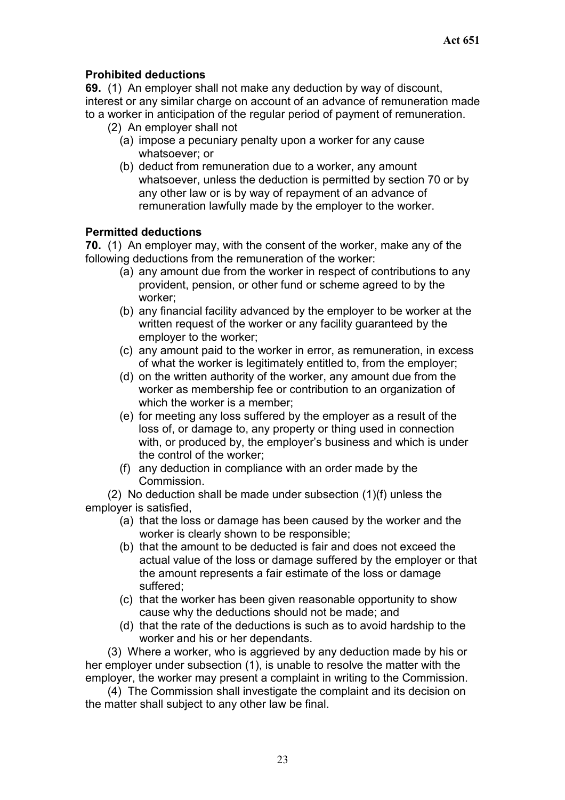## **Prohibited deductions**

**69.** (1) An employer shall not make any deduction by way of discount, interest or any similar charge on account of an advance of remuneration made to a worker in anticipation of the regular period of payment of remuneration.

- (2) An employer shall not
	- (a) impose a pecuniary penalty upon a worker for any cause whatsoever; or
	- (b) deduct from remuneration due to a worker, any amount whatsoever, unless the deduction is permitted by section 70 or by any other law or is by way of repayment of an advance of remuneration lawfully made by the employer to the worker.

#### **Permitted deductions**

**70.** (1) An employer may, with the consent of the worker, make any of the following deductions from the remuneration of the worker:

- (a) any amount due from the worker in respect of contributions to any provident, pension, or other fund or scheme agreed to by the worker;
- (b) any financial facility advanced by the employer to be worker at the written request of the worker or any facility guaranteed by the employer to the worker;
- (c) any amount paid to the worker in error, as remuneration, in excess of what the worker is legitimately entitled to, from the employer;
- (d) on the written authority of the worker, any amount due from the worker as membership fee or contribution to an organization of which the worker is a member:
- (e) for meeting any loss suffered by the employer as a result of the loss of, or damage to, any property or thing used in connection with, or produced by, the employer's business and which is under the control of the worker;
- (f) any deduction in compliance with an order made by the Commission.

(2) No deduction shall be made under subsection (1)(f) unless the employer is satisfied,

- (a) that the loss or damage has been caused by the worker and the worker is clearly shown to be responsible;
- (b) that the amount to be deducted is fair and does not exceed the actual value of the loss or damage suffered by the employer or that the amount represents a fair estimate of the loss or damage suffered;
- (c) that the worker has been given reasonable opportunity to show cause why the deductions should not be made; and
- (d) that the rate of the deductions is such as to avoid hardship to the worker and his or her dependants.

(3) Where a worker, who is aggrieved by any deduction made by his or her employer under subsection (1), is unable to resolve the matter with the employer, the worker may present a complaint in writing to the Commission.

(4) The Commission shall investigate the complaint and its decision on the matter shall subject to any other law be final.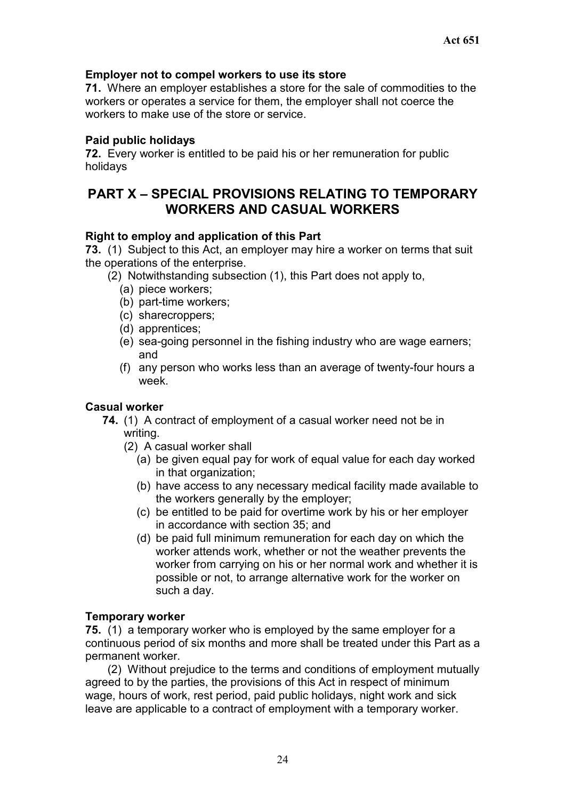#### **Employer not to compel workers to use its store**

**71.** Where an employer establishes a store for the sale of commodities to the workers or operates a service for them, the employer shall not coerce the workers to make use of the store or service.

## **Paid public holidays**

**72.** Every worker is entitled to be paid his or her remuneration for public holidays

# **PART X – SPECIAL PROVISIONS RELATING TO TEMPORARY WORKERS AND CASUAL WORKERS**

## **Right to employ and application of this Part**

**73.** (1) Subject to this Act, an employer may hire a worker on terms that suit the operations of the enterprise.

- (2) Notwithstanding subsection (1), this Part does not apply to,
	- (a) piece workers;
	- (b) part-time workers;
	- (c) sharecroppers;
	- (d) apprentices;
	- (e) sea-going personnel in the fishing industry who are wage earners; and
	- (f) any person who works less than an average of twenty-four hours a week.

#### **Casual worker**

- **74.** (1) A contract of employment of a casual worker need not be in writing.
	- (2) A casual worker shall
		- (a) be given equal pay for work of equal value for each day worked in that organization;
		- (b) have access to any necessary medical facility made available to the workers generally by the employer;
		- (c) be entitled to be paid for overtime work by his or her employer in accordance with section 35; and
		- (d) be paid full minimum remuneration for each day on which the worker attends work, whether or not the weather prevents the worker from carrying on his or her normal work and whether it is possible or not, to arrange alternative work for the worker on such a day.

#### **Temporary worker**

**75.** (1) a temporary worker who is employed by the same employer for a continuous period of six months and more shall be treated under this Part as a permanent worker.

(2) Without prejudice to the terms and conditions of employment mutually agreed to by the parties, the provisions of this Act in respect of minimum wage, hours of work, rest period, paid public holidays, night work and sick leave are applicable to a contract of employment with a temporary worker.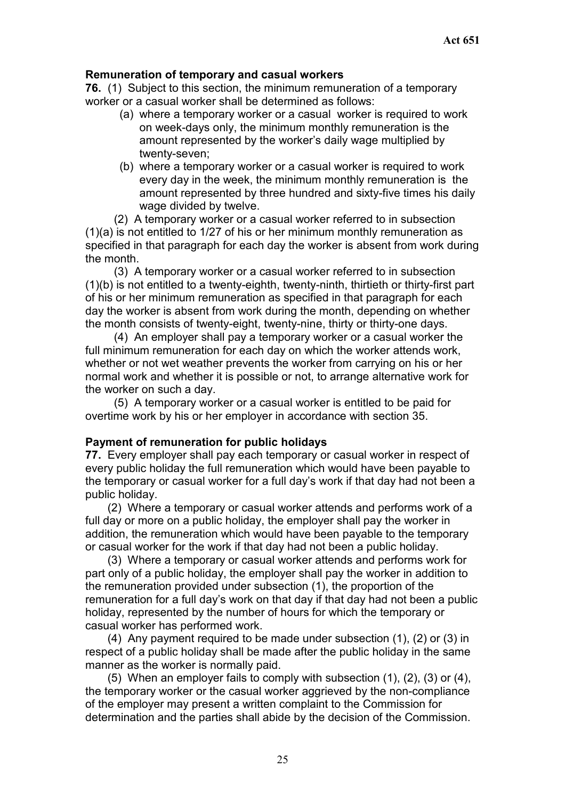## **Remuneration of temporary and casual workers**

**76.** (1) Subject to this section, the minimum remuneration of a temporary worker or a casual worker shall be determined as follows:

- (a) where a temporary worker or a casual worker is required to work on week-days only, the minimum monthly remuneration is the amount represented by the worker's daily wage multiplied by twenty-seven;
- (b) where a temporary worker or a casual worker is required to work every day in the week, the minimum monthly remuneration is the amount represented by three hundred and sixty-five times his daily wage divided by twelve.

(2) A temporary worker or a casual worker referred to in subsection (1)(a) is not entitled to 1/27 of his or her minimum monthly remuneration as specified in that paragraph for each day the worker is absent from work during the month.

(3) A temporary worker or a casual worker referred to in subsection (1)(b) is not entitled to a twenty-eighth, twenty-ninth, thirtieth or thirty-first part of his or her minimum remuneration as specified in that paragraph for each day the worker is absent from work during the month, depending on whether the month consists of twenty-eight, twenty-nine, thirty or thirty-one days.

(4) An employer shall pay a temporary worker or a casual worker the full minimum remuneration for each day on which the worker attends work, whether or not wet weather prevents the worker from carrying on his or her normal work and whether it is possible or not, to arrange alternative work for the worker on such a day.

(5) A temporary worker or a casual worker is entitled to be paid for overtime work by his or her employer in accordance with section 35.

#### **Payment of remuneration for public holidays**

**77.** Every employer shall pay each temporary or casual worker in respect of every public holiday the full remuneration which would have been payable to the temporary or casual worker for a full day's work if that day had not been a public holiday.

(2) Where a temporary or casual worker attends and performs work of a full day or more on a public holiday, the employer shall pay the worker in addition, the remuneration which would have been payable to the temporary or casual worker for the work if that day had not been a public holiday.

(3) Where a temporary or casual worker attends and performs work for part only of a public holiday, the employer shall pay the worker in addition to the remuneration provided under subsection (1), the proportion of the remuneration for a full day's work on that day if that day had not been a public holiday, represented by the number of hours for which the temporary or casual worker has performed work.

(4) Any payment required to be made under subsection (1), (2) or (3) in respect of a public holiday shall be made after the public holiday in the same manner as the worker is normally paid.

(5) When an employer fails to comply with subsection (1), (2), (3) or (4), the temporary worker or the casual worker aggrieved by the non-compliance of the employer may present a written complaint to the Commission for determination and the parties shall abide by the decision of the Commission.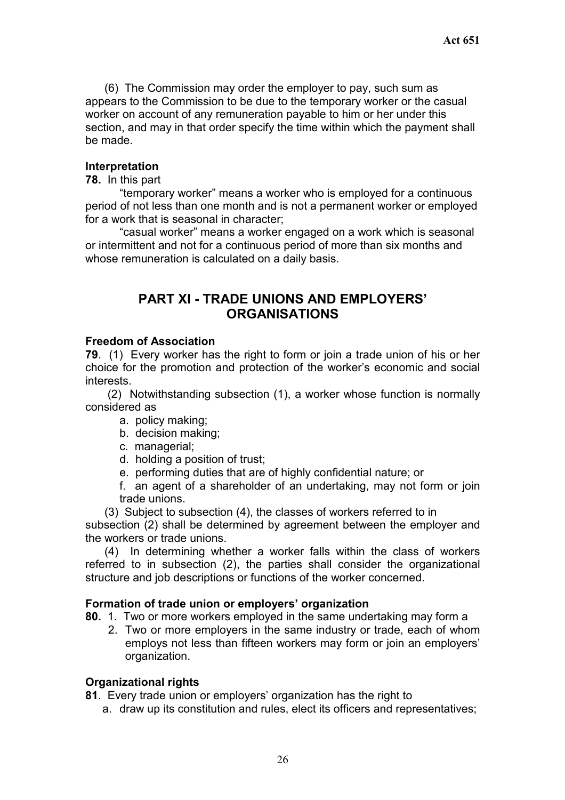(6) The Commission may order the employer to pay, such sum as appears to the Commission to be due to the temporary worker or the casual worker on account of any remuneration payable to him or her under this section, and may in that order specify the time within which the payment shall be made.

#### **Interpretation**

#### **78.** In this part

 "temporary worker" means a worker who is employed for a continuous period of not less than one month and is not a permanent worker or employed for a work that is seasonal in character;

 "casual worker" means a worker engaged on a work which is seasonal or intermittent and not for a continuous period of more than six months and whose remuneration is calculated on a daily basis.

# **PART XI - TRADE UNIONS AND EMPLOYERS' ORGANISATIONS**

#### **Freedom of Association**

**79**. (1) Every worker has the right to form or join a trade union of his or her choice for the promotion and protection of the worker's economic and social interests.

(2) Notwithstanding subsection (1), a worker whose function is normally considered as

- a. policy making;
- b. decision making;
- c. managerial;
- d. holding a position of trust;
- e. performing duties that are of highly confidential nature; or

f. an agent of a shareholder of an undertaking, may not form or join trade unions.

(3) Subject to subsection (4), the classes of workers referred to in

subsection (2) shall be determined by agreement between the employer and the workers or trade unions.

(4) In determining whether a worker falls within the class of workers referred to in subsection (2), the parties shall consider the organizational structure and job descriptions or functions of the worker concerned.

#### **Formation of trade union or employers' organization**

**80.** 1. Two or more workers employed in the same undertaking may form a

2. Two or more employers in the same industry or trade, each of whom employs not less than fifteen workers may form or join an employers' organization.

#### **Organizational rights**

- **81**. Every trade union or employers' organization has the right to
	- a. draw up its constitution and rules, elect its officers and representatives;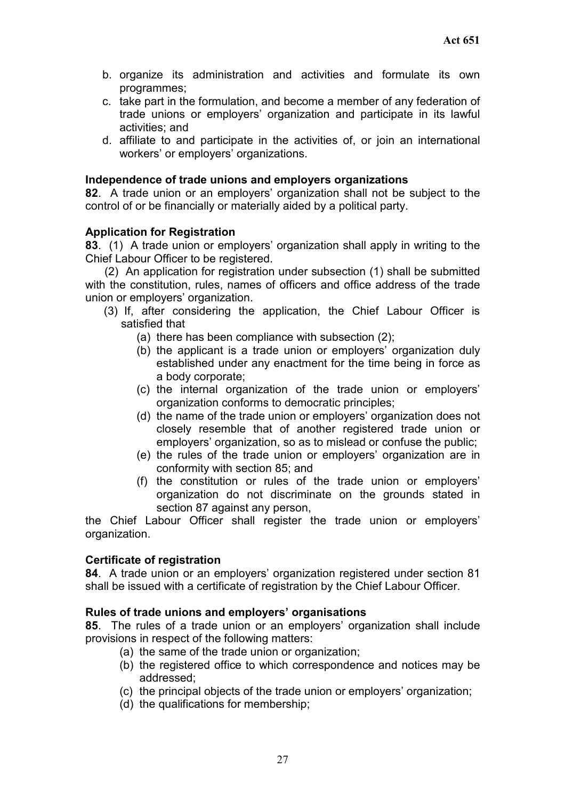- b. organize its administration and activities and formulate its own programmes;
- c. take part in the formulation, and become a member of any federation of trade unions or employers' organization and participate in its lawful activities; and
- d. affiliate to and participate in the activities of, or join an international workers' or employers' organizations.

#### **Independence of trade unions and employers organizations**

**82**. A trade union or an employers' organization shall not be subject to the control of or be financially or materially aided by a political party.

#### **Application for Registration**

**83**. (1) A trade union or employers' organization shall apply in writing to the Chief Labour Officer to be registered.

(2) An application for registration under subsection (1) shall be submitted with the constitution, rules, names of officers and office address of the trade union or employers' organization.

- (3) If, after considering the application, the Chief Labour Officer is satisfied that
	- (a) there has been compliance with subsection (2);
	- (b) the applicant is a trade union or employers' organization duly established under any enactment for the time being in force as a body corporate;
	- (c) the internal organization of the trade union or employers' organization conforms to democratic principles;
	- (d) the name of the trade union or employers' organization does not closely resemble that of another registered trade union or employers' organization, so as to mislead or confuse the public;
	- (e) the rules of the trade union or employers' organization are in conformity with section 85; and
	- (f) the constitution or rules of the trade union or employers' organization do not discriminate on the grounds stated in section 87 against any person,

the Chief Labour Officer shall register the trade union or employers' organization.

#### **Certificate of registration**

**84**. A trade union or an employers' organization registered under section 81 shall be issued with a certificate of registration by the Chief Labour Officer.

#### **Rules of trade unions and employers' organisations**

**85**. The rules of a trade union or an employers' organization shall include provisions in respect of the following matters:

- (a) the same of the trade union or organization;
- (b) the registered office to which correspondence and notices may be addressed;
- (c) the principal objects of the trade union or employers' organization;
- (d) the qualifications for membership;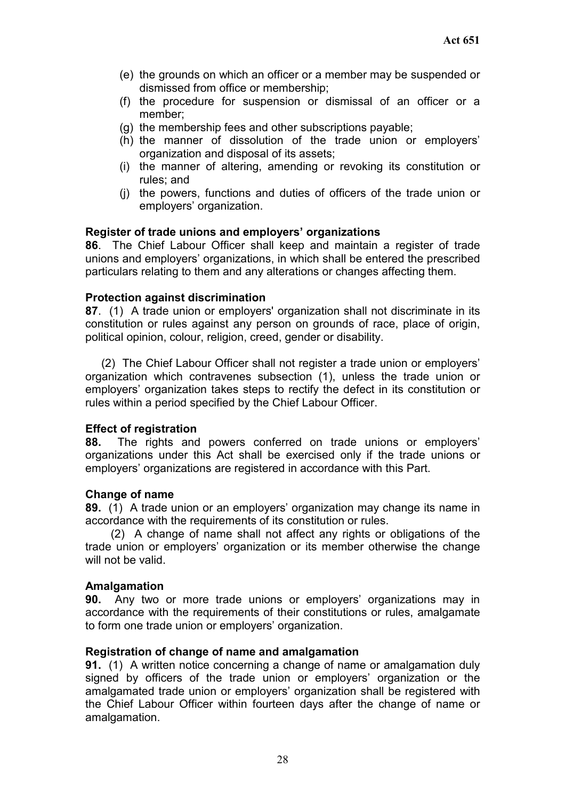- (e) the grounds on which an officer or a member may be suspended or dismissed from office or membership;
- (f) the procedure for suspension or dismissal of an officer or a member;
- (g) the membership fees and other subscriptions payable;
- (h) the manner of dissolution of the trade union or employers' organization and disposal of its assets;
- (i) the manner of altering, amending or revoking its constitution or rules; and
- (j) the powers, functions and duties of officers of the trade union or employers' organization.

#### **Register of trade unions and employers' organizations**

**86**. The Chief Labour Officer shall keep and maintain a register of trade unions and employers' organizations, in which shall be entered the prescribed particulars relating to them and any alterations or changes affecting them.

#### **Protection against discrimination**

**87**. (1) A trade union or employers' organization shall not discriminate in its constitution or rules against any person on grounds of race, place of origin, political opinion, colour, religion, creed, gender or disability.

(2) The Chief Labour Officer shall not register a trade union or employers' organization which contravenes subsection (1), unless the trade union or employers' organization takes steps to rectify the defect in its constitution or rules within a period specified by the Chief Labour Officer.

#### **Effect of registration**

**88.** The rights and powers conferred on trade unions or employers' organizations under this Act shall be exercised only if the trade unions or employers' organizations are registered in accordance with this Part.

#### **Change of name**

**89.** (1) A trade union or an employers' organization may change its name in accordance with the requirements of its constitution or rules.

(2) A change of name shall not affect any rights or obligations of the trade union or employers' organization or its member otherwise the change will not be valid.

#### **Amalgamation**

**90.** Any two or more trade unions or employers' organizations may in accordance with the requirements of their constitutions or rules, amalgamate to form one trade union or employers' organization.

#### **Registration of change of name and amalgamation**

**91.** (1) A written notice concerning a change of name or amalgamation duly signed by officers of the trade union or employers' organization or the amalgamated trade union or employers' organization shall be registered with the Chief Labour Officer within fourteen days after the change of name or amalgamation.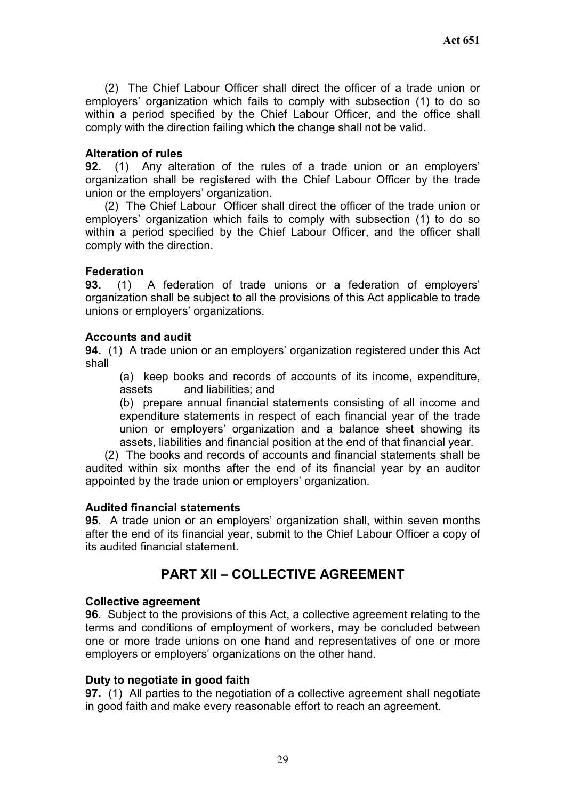(2) The Chief Labour Officer shall direct the officer of a trade union or employers' organization which fails to comply with subsection (1) to do so within a period specified by the Chief Labour Officer, and the office shall comply with the direction failing which the change shall not be valid.

#### **Alteration of rules**

**92.** (1) Any alteration of the rules of a trade union or an employers' organization shall be registered with the Chief Labour Officer by the trade union or the employers' organization.

(2) The Chief Labour Officer shall direct the officer of the trade union or employers' organization which fails to comply with subsection (1) to do so within a period specified by the Chief Labour Officer, and the officer shall comply with the direction.

#### **Federation**

**93.** (1) A federation of trade unions or a federation of employers' organization shall be subject to all the provisions of this Act applicable to trade unions or employers' organizations.

#### **Accounts and audit**

**94.** (1) A trade union or an employers' organization registered under this Act shall

(a) keep books and records of accounts of its income, expenditure, assets and liabilities; and

(b) prepare annual financial statements consisting of all income and expenditure statements in respect of each financial year of the trade union or employers' organization and a balance sheet showing its assets, liabilities and financial position at the end of that financial year.

(2) The books and records of accounts and financial statements shall be audited within six months after the end of its financial year by an auditor appointed by the trade union or employers' organization.

#### **Audited financial statements**

**95**. A trade union or an employers' organization shall, within seven months after the end of its financial year, submit to the Chief Labour Officer a copy of its audited financial statement.

# **PART XII – COLLECTIVE AGREEMENT**

#### **Collective agreement**

**96**. Subject to the provisions of this Act, a collective agreement relating to the terms and conditions of employment of workers, may be concluded between one or more trade unions on one hand and representatives of one or more employers or employers' organizations on the other hand.

#### **Duty to negotiate in good faith**

**97.** (1) All parties to the negotiation of a collective agreement shall negotiate in good faith and make every reasonable effort to reach an agreement.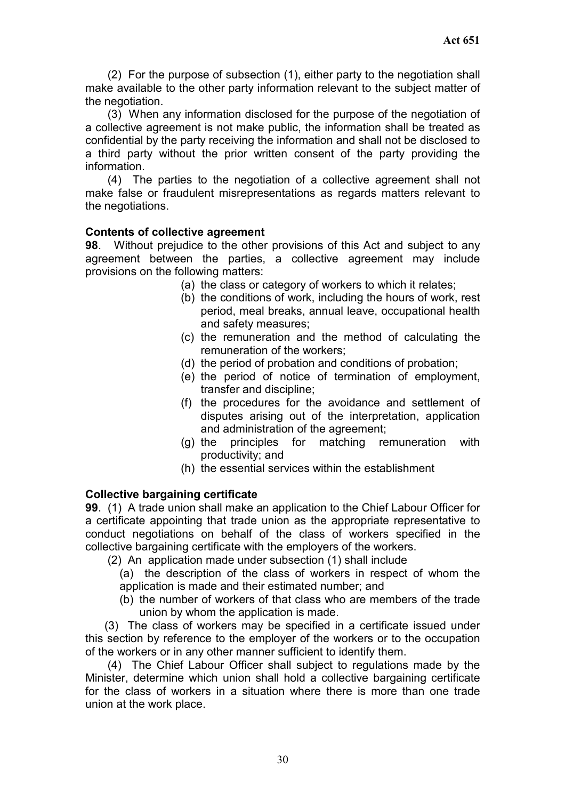(2) For the purpose of subsection (1), either party to the negotiation shall make available to the other party information relevant to the subject matter of the negotiation.

(3) When any information disclosed for the purpose of the negotiation of a collective agreement is not make public, the information shall be treated as confidential by the party receiving the information and shall not be disclosed to a third party without the prior written consent of the party providing the information.

(4) The parties to the negotiation of a collective agreement shall not make false or fraudulent misrepresentations as regards matters relevant to the negotiations.

## **Contents of collective agreement**

**98**. Without prejudice to the other provisions of this Act and subject to any agreement between the parties, a collective agreement may include provisions on the following matters:

- (a) the class or category of workers to which it relates;
- (b) the conditions of work, including the hours of work, rest period, meal breaks, annual leave, occupational health and safety measures;
- (c) the remuneration and the method of calculating the remuneration of the workers;
- (d) the period of probation and conditions of probation;
- (e) the period of notice of termination of employment, transfer and discipline;
- (f) the procedures for the avoidance and settlement of disputes arising out of the interpretation, application and administration of the agreement;
- (g) the principles for matching remuneration with productivity; and
- (h) the essential services within the establishment

## **Collective bargaining certificate**

**99**. (1) A trade union shall make an application to the Chief Labour Officer for a certificate appointing that trade union as the appropriate representative to conduct negotiations on behalf of the class of workers specified in the collective bargaining certificate with the employers of the workers.

(2) An application made under subsection (1) shall include

(a) the description of the class of workers in respect of whom the application is made and their estimated number; and

(b) the number of workers of that class who are members of the trade union by whom the application is made.

(3) The class of workers may be specified in a certificate issued under this section by reference to the employer of the workers or to the occupation of the workers or in any other manner sufficient to identify them.

(4) The Chief Labour Officer shall subject to regulations made by the Minister, determine which union shall hold a collective bargaining certificate for the class of workers in a situation where there is more than one trade union at the work place.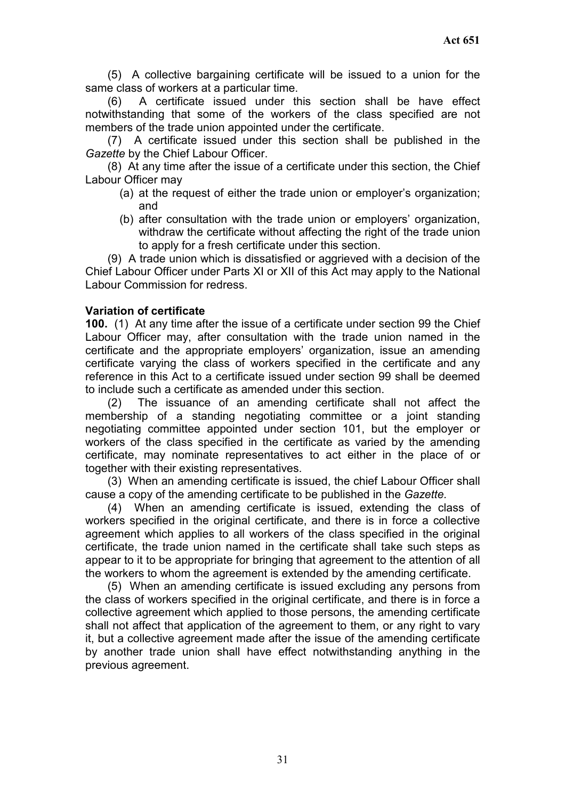(5) A collective bargaining certificate will be issued to a union for the same class of workers at a particular time.

A certificate issued under this section shall be have effect notwithstanding that some of the workers of the class specified are not members of the trade union appointed under the certificate.

(7) A certificate issued under this section shall be published in the *Gazette* by the Chief Labour Officer.

(8) At any time after the issue of a certificate under this section, the Chief Labour Officer may

- (a) at the request of either the trade union or employer's organization; and
- (b) after consultation with the trade union or employers' organization, withdraw the certificate without affecting the right of the trade union to apply for a fresh certificate under this section.

(9) A trade union which is dissatisfied or aggrieved with a decision of the Chief Labour Officer under Parts XI or XII of this Act may apply to the National Labour Commission for redress.

#### **Variation of certificate**

**100.** (1) At any time after the issue of a certificate under section 99 the Chief Labour Officer may, after consultation with the trade union named in the certificate and the appropriate employers' organization, issue an amending certificate varying the class of workers specified in the certificate and any reference in this Act to a certificate issued under section 99 shall be deemed to include such a certificate as amended under this section.

(2) The issuance of an amending certificate shall not affect the membership of a standing negotiating committee or a joint standing negotiating committee appointed under section 101, but the employer or workers of the class specified in the certificate as varied by the amending certificate, may nominate representatives to act either in the place of or together with their existing representatives.

(3) When an amending certificate is issued, the chief Labour Officer shall cause a copy of the amending certificate to be published in the *Gazette.*

(4) When an amending certificate is issued, extending the class of workers specified in the original certificate, and there is in force a collective agreement which applies to all workers of the class specified in the original certificate, the trade union named in the certificate shall take such steps as appear to it to be appropriate for bringing that agreement to the attention of all the workers to whom the agreement is extended by the amending certificate.

(5) When an amending certificate is issued excluding any persons from the class of workers specified in the original certificate, and there is in force a collective agreement which applied to those persons, the amending certificate shall not affect that application of the agreement to them, or any right to vary it, but a collective agreement made after the issue of the amending certificate by another trade union shall have effect notwithstanding anything in the previous agreement.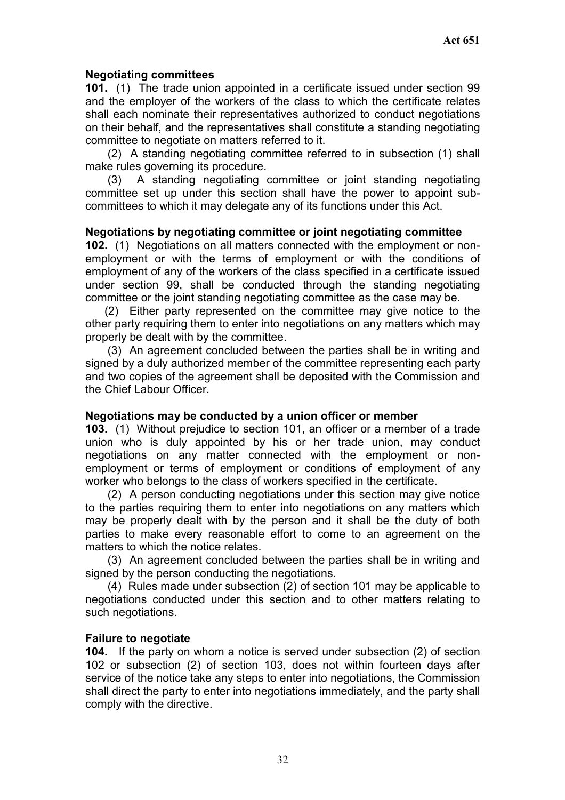## **Negotiating committees**

**101.** (1) The trade union appointed in a certificate issued under section 99 and the employer of the workers of the class to which the certificate relates shall each nominate their representatives authorized to conduct negotiations on their behalf, and the representatives shall constitute a standing negotiating committee to negotiate on matters referred to it.

(2) A standing negotiating committee referred to in subsection (1) shall make rules governing its procedure.

(3) A standing negotiating committee or joint standing negotiating committee set up under this section shall have the power to appoint subcommittees to which it may delegate any of its functions under this Act.

#### **Negotiations by negotiating committee or joint negotiating committee**

**102.** (1) Negotiations on all matters connected with the employment or nonemployment or with the terms of employment or with the conditions of employment of any of the workers of the class specified in a certificate issued under section 99, shall be conducted through the standing negotiating committee or the joint standing negotiating committee as the case may be.

(2) Either party represented on the committee may give notice to the other party requiring them to enter into negotiations on any matters which may properly be dealt with by the committee.

(3) An agreement concluded between the parties shall be in writing and signed by a duly authorized member of the committee representing each party and two copies of the agreement shall be deposited with the Commission and the Chief Labour Officer.

#### **Negotiations may be conducted by a union officer or member**

**103.** (1) Without prejudice to section 101, an officer or a member of a trade union who is duly appointed by his or her trade union, may conduct negotiations on any matter connected with the employment or nonemployment or terms of employment or conditions of employment of any worker who belongs to the class of workers specified in the certificate.

(2) A person conducting negotiations under this section may give notice to the parties requiring them to enter into negotiations on any matters which may be properly dealt with by the person and it shall be the duty of both parties to make every reasonable effort to come to an agreement on the matters to which the notice relates.

(3) An agreement concluded between the parties shall be in writing and signed by the person conducting the negotiations.

(4) Rules made under subsection (2) of section 101 may be applicable to negotiations conducted under this section and to other matters relating to such negotiations.

#### **Failure to negotiate**

**104.** If the party on whom a notice is served under subsection (2) of section 102 or subsection (2) of section 103, does not within fourteen days after service of the notice take any steps to enter into negotiations, the Commission shall direct the party to enter into negotiations immediately, and the party shall comply with the directive.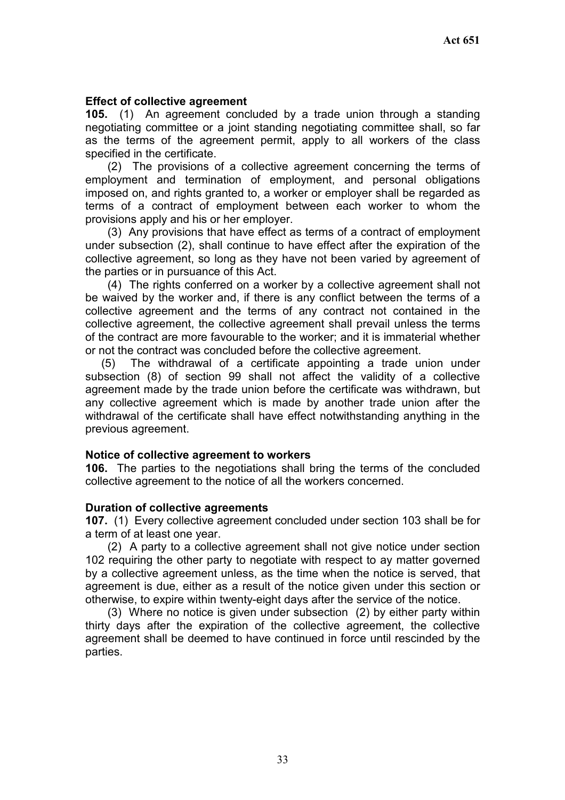#### **Effect of collective agreement**

**105.** (1) An agreement concluded by a trade union through a standing negotiating committee or a joint standing negotiating committee shall, so far as the terms of the agreement permit, apply to all workers of the class specified in the certificate.

(2) The provisions of a collective agreement concerning the terms of employment and termination of employment, and personal obligations imposed on, and rights granted to, a worker or employer shall be regarded as terms of a contract of employment between each worker to whom the provisions apply and his or her employer.

(3) Any provisions that have effect as terms of a contract of employment under subsection (2), shall continue to have effect after the expiration of the collective agreement, so long as they have not been varied by agreement of the parties or in pursuance of this Act.

(4) The rights conferred on a worker by a collective agreement shall not be waived by the worker and, if there is any conflict between the terms of a collective agreement and the terms of any contract not contained in the collective agreement, the collective agreement shall prevail unless the terms of the contract are more favourable to the worker; and it is immaterial whether or not the contract was concluded before the collective agreement.

(5) The withdrawal of a certificate appointing a trade union under subsection (8) of section 99 shall not affect the validity of a collective agreement made by the trade union before the certificate was withdrawn, but any collective agreement which is made by another trade union after the withdrawal of the certificate shall have effect notwithstanding anything in the previous agreement.

#### **Notice of collective agreement to workers**

**106.** The parties to the negotiations shall bring the terms of the concluded collective agreement to the notice of all the workers concerned.

#### **Duration of collective agreements**

**107.** (1) Every collective agreement concluded under section 103 shall be for a term of at least one year.

(2) A party to a collective agreement shall not give notice under section 102 requiring the other party to negotiate with respect to ay matter governed by a collective agreement unless, as the time when the notice is served, that agreement is due, either as a result of the notice given under this section or otherwise, to expire within twenty-eight days after the service of the notice.

(3) Where no notice is given under subsection (2) by either party within thirty days after the expiration of the collective agreement, the collective agreement shall be deemed to have continued in force until rescinded by the parties.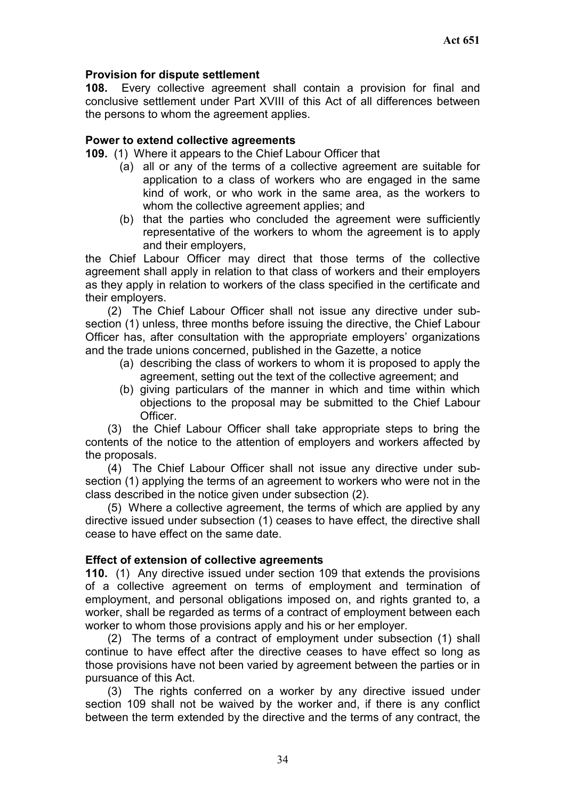## **Provision for dispute settlement**

**108.** Every collective agreement shall contain a provision for final and conclusive settlement under Part XVIII of this Act of all differences between the persons to whom the agreement applies.

#### **Power to extend collective agreements**

**109.** (1) Where it appears to the Chief Labour Officer that

- (a) all or any of the terms of a collective agreement are suitable for application to a class of workers who are engaged in the same kind of work, or who work in the same area, as the workers to whom the collective agreement applies; and
- (b) that the parties who concluded the agreement were sufficiently representative of the workers to whom the agreement is to apply and their employers,

the Chief Labour Officer may direct that those terms of the collective agreement shall apply in relation to that class of workers and their employers as they apply in relation to workers of the class specified in the certificate and their employers.

(2) The Chief Labour Officer shall not issue any directive under subsection (1) unless, three months before issuing the directive, the Chief Labour Officer has, after consultation with the appropriate employers' organizations and the trade unions concerned, published in the Gazette, a notice

- (a) describing the class of workers to whom it is proposed to apply the agreement, setting out the text of the collective agreement; and
- (b) giving particulars of the manner in which and time within which objections to the proposal may be submitted to the Chief Labour Officer.

(3) the Chief Labour Officer shall take appropriate steps to bring the contents of the notice to the attention of employers and workers affected by the proposals.

(4) The Chief Labour Officer shall not issue any directive under subsection (1) applying the terms of an agreement to workers who were not in the class described in the notice given under subsection (2).

(5) Where a collective agreement, the terms of which are applied by any directive issued under subsection (1) ceases to have effect, the directive shall cease to have effect on the same date.

#### **Effect of extension of collective agreements**

**110.** (1) Any directive issued under section 109 that extends the provisions of a collective agreement on terms of employment and termination of employment, and personal obligations imposed on, and rights granted to, a worker, shall be regarded as terms of a contract of employment between each worker to whom those provisions apply and his or her employer.

(2) The terms of a contract of employment under subsection (1) shall continue to have effect after the directive ceases to have effect so long as those provisions have not been varied by agreement between the parties or in pursuance of this Act.

(3) The rights conferred on a worker by any directive issued under section 109 shall not be waived by the worker and, if there is any conflict between the term extended by the directive and the terms of any contract, the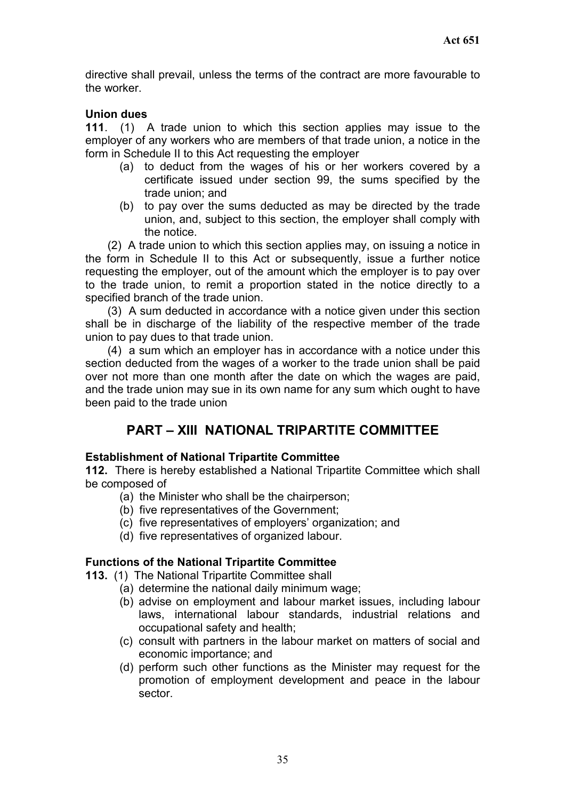directive shall prevail, unless the terms of the contract are more favourable to the worker.

#### **Union dues**

**111**. (1) A trade union to which this section applies may issue to the employer of any workers who are members of that trade union, a notice in the form in Schedule II to this Act requesting the employer

- (a) to deduct from the wages of his or her workers covered by a certificate issued under section 99, the sums specified by the trade union; and
- (b) to pay over the sums deducted as may be directed by the trade union, and, subject to this section, the employer shall comply with the notice.

(2) A trade union to which this section applies may, on issuing a notice in the form in Schedule II to this Act or subsequently, issue a further notice requesting the employer, out of the amount which the employer is to pay over to the trade union, to remit a proportion stated in the notice directly to a specified branch of the trade union.

(3) A sum deducted in accordance with a notice given under this section shall be in discharge of the liability of the respective member of the trade union to pay dues to that trade union.

(4) a sum which an employer has in accordance with a notice under this section deducted from the wages of a worker to the trade union shall be paid over not more than one month after the date on which the wages are paid, and the trade union may sue in its own name for any sum which ought to have been paid to the trade union

# **PART – XIII NATIONAL TRIPARTITE COMMITTEE**

#### **Establishment of National Tripartite Committee**

**112.** There is hereby established a National Tripartite Committee which shall be composed of

- (a) the Minister who shall be the chairperson;
- (b) five representatives of the Government;
- (c) five representatives of employers' organization; and
- (d) five representatives of organized labour.

#### **Functions of the National Tripartite Committee**

- **113.** (1) The National Tripartite Committee shall
	- (a) determine the national daily minimum wage;
	- (b) advise on employment and labour market issues, including labour laws, international labour standards, industrial relations and occupational safety and health;
	- (c) consult with partners in the labour market on matters of social and economic importance; and
	- (d) perform such other functions as the Minister may request for the promotion of employment development and peace in the labour sector.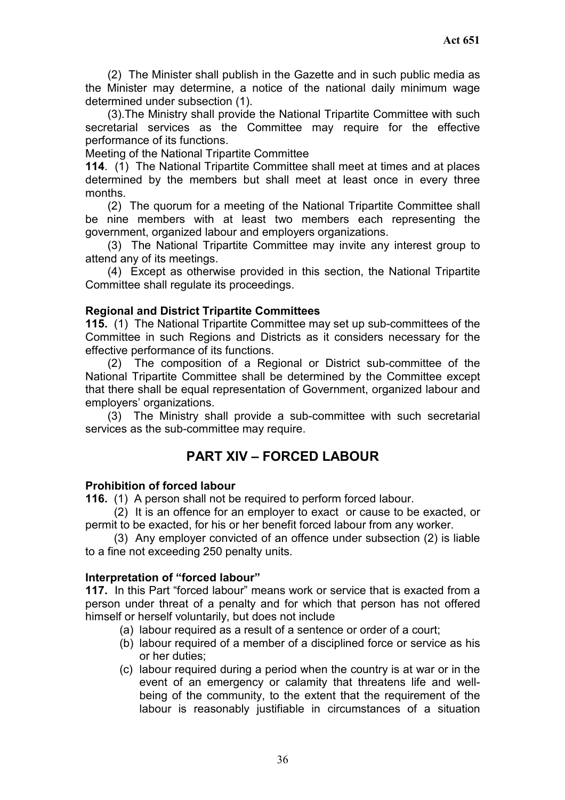(2) The Minister shall publish in the Gazette and in such public media as the Minister may determine, a notice of the national daily minimum wage determined under subsection (1).

(3).The Ministry shall provide the National Tripartite Committee with such secretarial services as the Committee may require for the effective performance of its functions.

Meeting of the National Tripartite Committee

**114**. (1) The National Tripartite Committee shall meet at times and at places determined by the members but shall meet at least once in every three months.

(2) The quorum for a meeting of the National Tripartite Committee shall be nine members with at least two members each representing the government, organized labour and employers organizations.

(3) The National Tripartite Committee may invite any interest group to attend any of its meetings.

(4) Except as otherwise provided in this section, the National Tripartite Committee shall regulate its proceedings.

#### **Regional and District Tripartite Committees**

**115.** (1) The National Tripartite Committee may set up sub-committees of the Committee in such Regions and Districts as it considers necessary for the effective performance of its functions.

(2) The composition of a Regional or District sub-committee of the National Tripartite Committee shall be determined by the Committee except that there shall be equal representation of Government, organized labour and employers' organizations.

(3) The Ministry shall provide a sub-committee with such secretarial services as the sub-committee may require.

# **PART XIV – FORCED LABOUR**

#### **Prohibition of forced labour**

**116.** (1) A person shall not be required to perform forced labour.

(2) It is an offence for an employer to exact or cause to be exacted, or permit to be exacted, for his or her benefit forced labour from any worker.

(3) Any employer convicted of an offence under subsection (2) is liable to a fine not exceeding 250 penalty units.

#### **Interpretation of "forced labour"**

**117.** In this Part "forced labour" means work or service that is exacted from a person under threat of a penalty and for which that person has not offered himself or herself voluntarily, but does not include

- (a) labour required as a result of a sentence or order of a court;
- (b) labour required of a member of a disciplined force or service as his or her duties;
- (c) labour required during a period when the country is at war or in the event of an emergency or calamity that threatens life and wellbeing of the community, to the extent that the requirement of the labour is reasonably justifiable in circumstances of a situation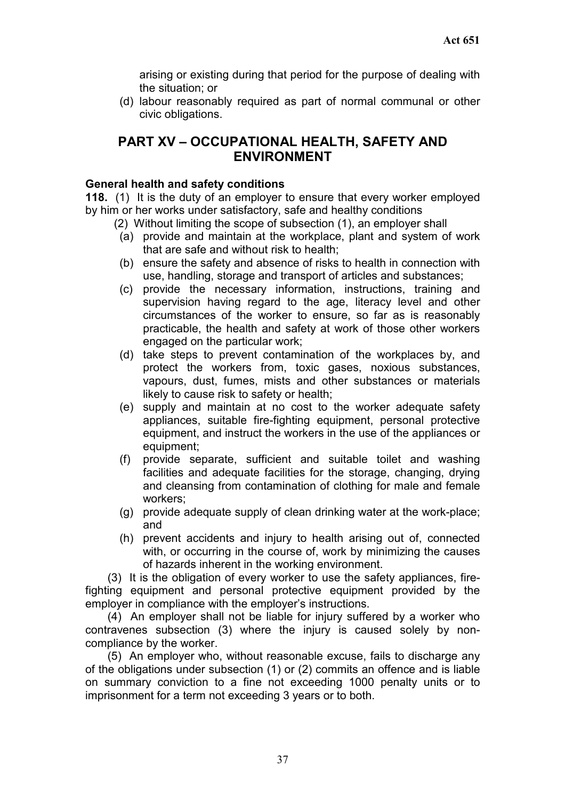arising or existing during that period for the purpose of dealing with the situation; or

(d) labour reasonably required as part of normal communal or other civic obligations.

# **PART XV – OCCUPATIONAL HEALTH, SAFETY AND ENVIRONMENT**

#### **General health and safety conditions**

**118.** (1) It is the duty of an employer to ensure that every worker employed by him or her works under satisfactory, safe and healthy conditions

- (2) Without limiting the scope of subsection (1), an employer shall
	- (a) provide and maintain at the workplace, plant and system of work that are safe and without risk to health;
	- (b) ensure the safety and absence of risks to health in connection with use, handling, storage and transport of articles and substances;
	- (c) provide the necessary information, instructions, training and supervision having regard to the age, literacy level and other circumstances of the worker to ensure, so far as is reasonably practicable, the health and safety at work of those other workers engaged on the particular work;
	- (d) take steps to prevent contamination of the workplaces by, and protect the workers from, toxic gases, noxious substances, vapours, dust, fumes, mists and other substances or materials likely to cause risk to safety or health;
	- (e) supply and maintain at no cost to the worker adequate safety appliances, suitable fire-fighting equipment, personal protective equipment, and instruct the workers in the use of the appliances or equipment;
	- (f) provide separate, sufficient and suitable toilet and washing facilities and adequate facilities for the storage, changing, drying and cleansing from contamination of clothing for male and female workers;
	- (g) provide adequate supply of clean drinking water at the work-place; and
	- (h) prevent accidents and injury to health arising out of, connected with, or occurring in the course of, work by minimizing the causes of hazards inherent in the working environment.

(3) It is the obligation of every worker to use the safety appliances, firefighting equipment and personal protective equipment provided by the employer in compliance with the employer's instructions.

(4) An employer shall not be liable for injury suffered by a worker who contravenes subsection (3) where the injury is caused solely by noncompliance by the worker.

(5) An employer who, without reasonable excuse, fails to discharge any of the obligations under subsection (1) or (2) commits an offence and is liable on summary conviction to a fine not exceeding 1000 penalty units or to imprisonment for a term not exceeding 3 years or to both.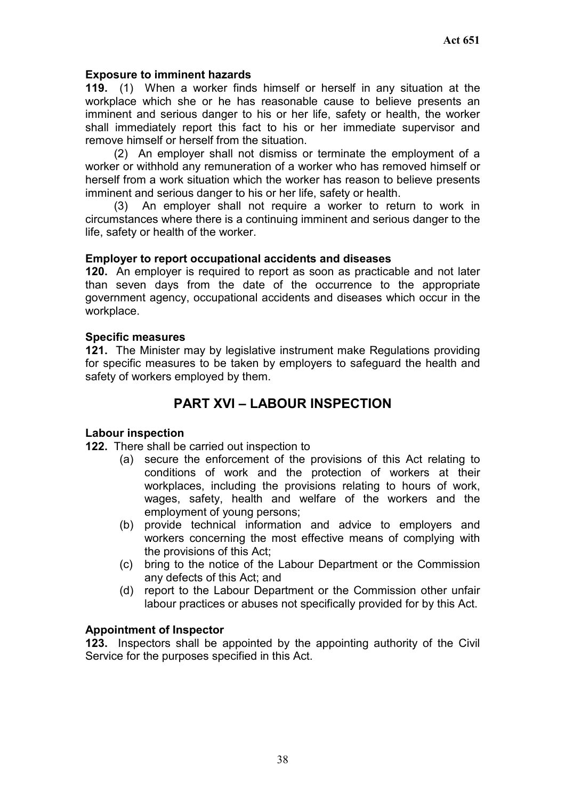#### **Exposure to imminent hazards**

**119.** (1) When a worker finds himself or herself in any situation at the workplace which she or he has reasonable cause to believe presents an imminent and serious danger to his or her life, safety or health, the worker shall immediately report this fact to his or her immediate supervisor and remove himself or herself from the situation.

(2) An employer shall not dismiss or terminate the employment of a worker or withhold any remuneration of a worker who has removed himself or herself from a work situation which the worker has reason to believe presents imminent and serious danger to his or her life, safety or health.

(3) An employer shall not require a worker to return to work in circumstances where there is a continuing imminent and serious danger to the life, safety or health of the worker.

#### **Employer to report occupational accidents and diseases**

**120.** An employer is required to report as soon as practicable and not later than seven days from the date of the occurrence to the appropriate government agency, occupational accidents and diseases which occur in the workplace.

#### **Specific measures**

**121.** The Minister may by legislative instrument make Regulations providing for specific measures to be taken by employers to safeguard the health and safety of workers employed by them.

# **PART XVI – LABOUR INSPECTION**

## **Labour inspection**

**122.** There shall be carried out inspection to

- (a) secure the enforcement of the provisions of this Act relating to conditions of work and the protection of workers at their workplaces, including the provisions relating to hours of work, wages, safety, health and welfare of the workers and the employment of young persons;
- (b) provide technical information and advice to employers and workers concerning the most effective means of complying with the provisions of this Act;
- (c) bring to the notice of the Labour Department or the Commission any defects of this Act; and
- (d) report to the Labour Department or the Commission other unfair labour practices or abuses not specifically provided for by this Act.

#### **Appointment of Inspector**

**123.** Inspectors shall be appointed by the appointing authority of the Civil Service for the purposes specified in this Act.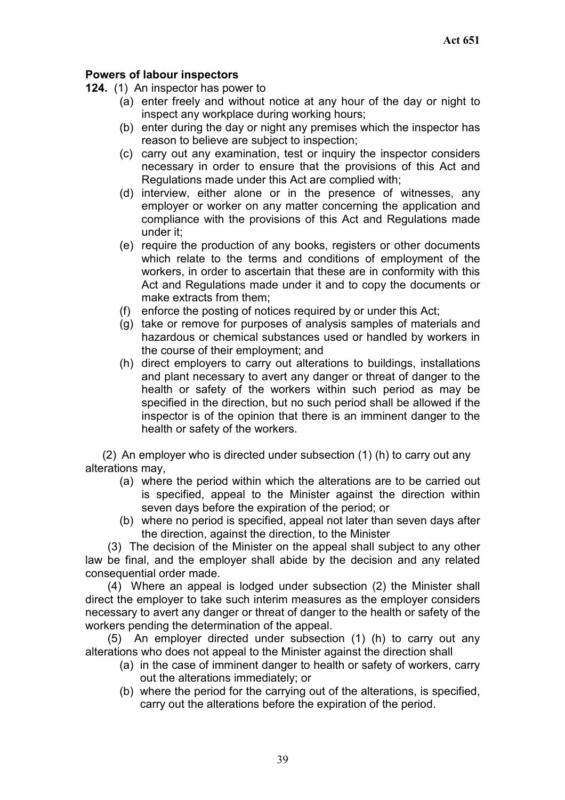## **Powers of labour inspectors**

- **124.** (1) An inspector has power to
	- (a) enter freely and without notice at any hour of the day or night to inspect any workplace during working hours;
	- (b) enter during the day or night any premises which the inspector has reason to believe are subject to inspection;
	- (c) carry out any examination, test or inquiry the inspector considers necessary in order to ensure that the provisions of this Act and Regulations made under this Act are complied with;
	- (d) interview, either alone or in the presence of witnesses, any employer or worker on any matter concerning the application and compliance with the provisions of this Act and Regulations made under it;
	- (e) require the production of any books, registers or other documents which relate to the terms and conditions of employment of the workers, in order to ascertain that these are in conformity with this Act and Regulations made under it and to copy the documents or make extracts from them;
	- (f) enforce the posting of notices required by or under this Act;
	- (g) take or remove for purposes of analysis samples of materials and hazardous or chemical substances used or handled by workers in the course of their employment; and
	- (h) direct employers to carry out alterations to buildings, installations and plant necessary to avert any danger or threat of danger to the health or safety of the workers within such period as may be specified in the direction, but no such period shall be allowed if the inspector is of the opinion that there is an imminent danger to the health or safety of the workers.

(2) An employer who is directed under subsection (1) (h) to carry out any alterations may,

- (a) where the period within which the alterations are to be carried out is specified, appeal to the Minister against the direction within seven days before the expiration of the period; or
- (b) where no period is specified, appeal not later than seven days after the direction, against the direction, to the Minister

(3) The decision of the Minister on the appeal shall subject to any other law be final, and the employer shall abide by the decision and any related consequential order made.

(4) Where an appeal is lodged under subsection (2) the Minister shall direct the employer to take such interim measures as the employer considers necessary to avert any danger or threat of danger to the health or safety of the workers pending the determination of the appeal.

(5) An employer directed under subsection (1) (h) to carry out any alterations who does not appeal to the Minister against the direction shall

- (a) in the case of imminent danger to health or safety of workers, carry out the alterations immediately; or
- (b) where the period for the carrying out of the alterations, is specified, carry out the alterations before the expiration of the period.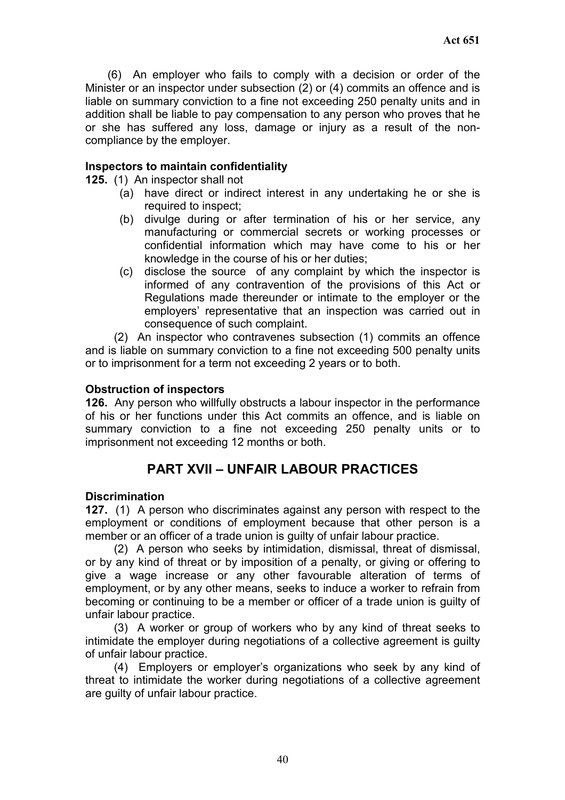(6) An employer who fails to comply with a decision or order of the Minister or an inspector under subsection (2) or (4) commits an offence and is liable on summary conviction to a fine not exceeding 250 penalty units and in addition shall be liable to pay compensation to any person who proves that he or she has suffered any loss, damage or injury as a result of the noncompliance by the employer.

## **Inspectors to maintain confidentiality**

**125.** (1) An inspector shall not

- (a) have direct or indirect interest in any undertaking he or she is required to inspect;
- (b) divulge during or after termination of his or her service, any manufacturing or commercial secrets or working processes or confidential information which may have come to his or her knowledge in the course of his or her duties;
- (c) disclose the source of any complaint by which the inspector is informed of any contravention of the provisions of this Act or Regulations made thereunder or intimate to the employer or the employers' representative that an inspection was carried out in consequence of such complaint.

(2) An inspector who contravenes subsection (1) commits an offence and is liable on summary conviction to a fine not exceeding 500 penalty units or to imprisonment for a term not exceeding 2 years or to both.

## **Obstruction of inspectors**

**126.** Any person who willfully obstructs a labour inspector in the performance of his or her functions under this Act commits an offence, and is liable on summary conviction to a fine not exceeding 250 penalty units or to imprisonment not exceeding 12 months or both.

# **PART XVII – UNFAIR LABOUR PRACTICES**

#### **Discrimination**

**127.** (1) A person who discriminates against any person with respect to the employment or conditions of employment because that other person is a member or an officer of a trade union is guilty of unfair labour practice.

(2) A person who seeks by intimidation, dismissal, threat of dismissal, or by any kind of threat or by imposition of a penalty, or giving or offering to give a wage increase or any other favourable alteration of terms of employment, or by any other means, seeks to induce a worker to refrain from becoming or continuing to be a member or officer of a trade union is guilty of unfair labour practice.

(3) A worker or group of workers who by any kind of threat seeks to intimidate the employer during negotiations of a collective agreement is guilty of unfair labour practice.

(4) Employers or employer's organizations who seek by any kind of threat to intimidate the worker during negotiations of a collective agreement are guilty of unfair labour practice.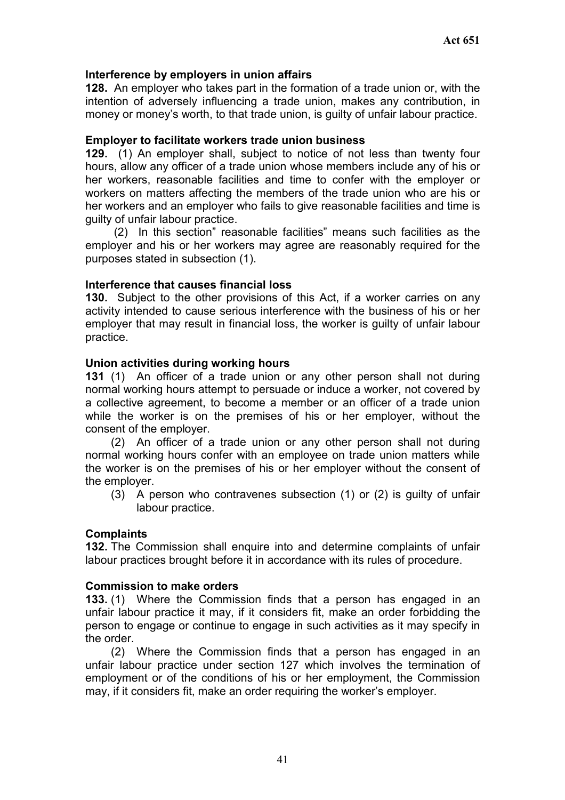#### **Interference by employers in union affairs**

**128.** An employer who takes part in the formation of a trade union or, with the intention of adversely influencing a trade union, makes any contribution, in money or money's worth, to that trade union, is guilty of unfair labour practice.

#### **Employer to facilitate workers trade union business**

**129.** (1) An employer shall, subject to notice of not less than twenty four hours, allow any officer of a trade union whose members include any of his or her workers, reasonable facilities and time to confer with the employer or workers on matters affecting the members of the trade union who are his or her workers and an employer who fails to give reasonable facilities and time is guilty of unfair labour practice.

(2) In this section" reasonable facilities" means such facilities as the employer and his or her workers may agree are reasonably required for the purposes stated in subsection (1).

#### **Interference that causes financial loss**

**130.** Subject to the other provisions of this Act, if a worker carries on any activity intended to cause serious interference with the business of his or her employer that may result in financial loss, the worker is guilty of unfair labour practice.

#### **Union activities during working hours**

**131** (1) An officer of a trade union or any other person shall not during normal working hours attempt to persuade or induce a worker, not covered by a collective agreement, to become a member or an officer of a trade union while the worker is on the premises of his or her employer, without the consent of the employer.

 (2) An officer of a trade union or any other person shall not during normal working hours confer with an employee on trade union matters while the worker is on the premises of his or her employer without the consent of the employer.

(3) A person who contravenes subsection (1) or (2) is guilty of unfair labour practice.

#### **Complaints**

**132.** The Commission shall enquire into and determine complaints of unfair labour practices brought before it in accordance with its rules of procedure.

#### **Commission to make orders**

**133.** (1) Where the Commission finds that a person has engaged in an unfair labour practice it may, if it considers fit, make an order forbidding the person to engage or continue to engage in such activities as it may specify in the order.

(2) Where the Commission finds that a person has engaged in an unfair labour practice under section 127 which involves the termination of employment or of the conditions of his or her employment, the Commission may, if it considers fit, make an order requiring the worker's employer.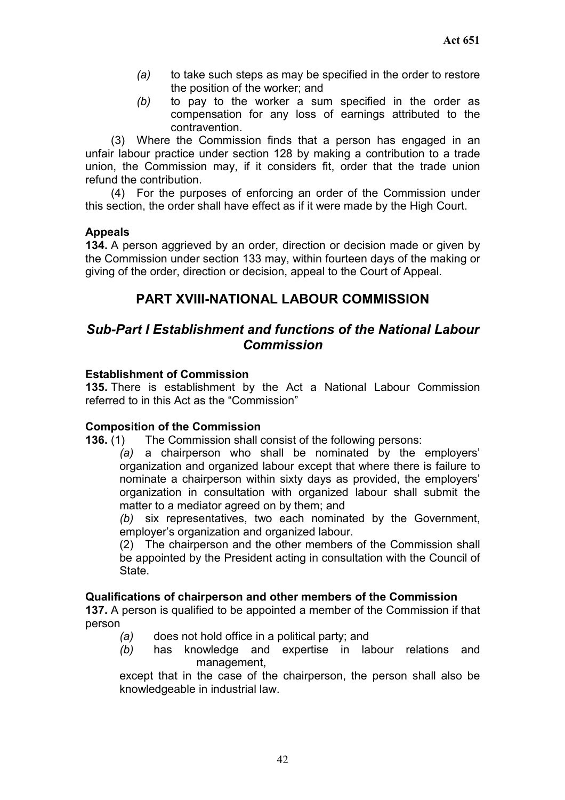- *(a)* to take such steps as may be specified in the order to restore the position of the worker; and
- *(b)* to pay to the worker a sum specified in the order as compensation for any loss of earnings attributed to the contravention.

(3) Where the Commission finds that a person has engaged in an unfair labour practice under section 128 by making a contribution to a trade union, the Commission may, if it considers fit, order that the trade union refund the contribution.

(4) For the purposes of enforcing an order of the Commission under this section, the order shall have effect as if it were made by the High Court.

## **Appeals**

**134.** A person aggrieved by an order, direction or decision made or given by the Commission under section 133 may, within fourteen days of the making or giving of the order, direction or decision, appeal to the Court of Appeal.

# **PART XVIII-NATIONAL LABOUR COMMISSION**

# *Sub-Part I Establishment and functions of the National Labour Commission*

## **Establishment of Commission**

**135.** There is establishment by the Act a National Labour Commission referred to in this Act as the "Commission"

#### **Composition of the Commission**

**136.** (1) The Commission shall consist of the following persons:

*(a)* a chairperson who shall be nominated by the employers' organization and organized labour except that where there is failure to nominate a chairperson within sixty days as provided, the employers' organization in consultation with organized labour shall submit the matter to a mediator agreed on by them; and

*(b)* six representatives, two each nominated by the Government, employer's organization and organized labour.

(2) The chairperson and the other members of the Commission shall be appointed by the President acting in consultation with the Council of **State** 

#### **Qualifications of chairperson and other members of the Commission**

**137.** A person is qualified to be appointed a member of the Commission if that person

- *(a)* does not hold office in a political party; and
- *(b)* has knowledge and expertise in labour relations and management,

except that in the case of the chairperson, the person shall also be knowledgeable in industrial law.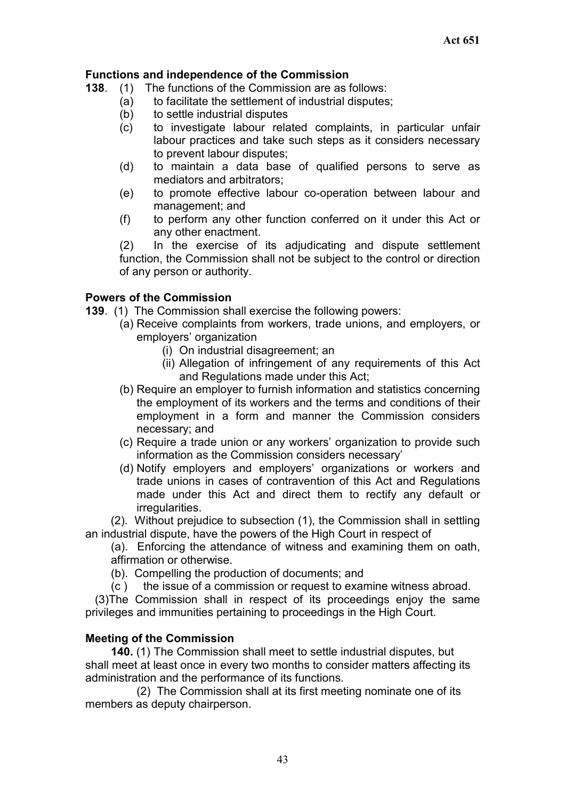## **Functions and independence of the Commission**

- **138**. (1) The functions of the Commission are as follows:
	- (a) to facilitate the settlement of industrial disputes;
	- (b) to settle industrial disputes
	- (c) to investigate labour related complaints, in particular unfair labour practices and take such steps as it considers necessary to prevent labour disputes;
	- (d) to maintain a data base of qualified persons to serve as mediators and arbitrators;
	- (e) to promote effective labour co-operation between labour and management; and
	- (f) to perform any other function conferred on it under this Act or any other enactment.

(2) In the exercise of its adjudicating and dispute settlement function, the Commission shall not be subject to the control or direction of any person or authority.

## **Powers of the Commission**

- **139**. (1) The Commission shall exercise the following powers:
	- (a) Receive complaints from workers, trade unions, and employers, or employers' organization
		- (i) On industrial disagreement; an
		- (ii) Allegation of infringement of any requirements of this Act and Regulations made under this Act;
	- (b) Require an employer to furnish information and statistics concerning the employment of its workers and the terms and conditions of their employment in a form and manner the Commission considers necessary; and
	- (c) Require a trade union or any workers' organization to provide such information as the Commission considers necessary'
	- (d) Notify employers and employers' organizations or workers and trade unions in cases of contravention of this Act and Regulations made under this Act and direct them to rectify any default or irregularities.

(2). Without prejudice to subsection (1), the Commission shall in settling an industrial dispute, have the powers of the High Court in respect of

(a). Enforcing the attendance of witness and examining them on oath, affirmation or otherwise.

(b). Compelling the production of documents; and

(c ) the issue of a commission or request to examine witness abroad.

(3)The Commission shall in respect of its proceedings enjoy the same privileges and immunities pertaining to proceedings in the High Court.

#### **Meeting of the Commission**

 **140.** (1) The Commission shall meet to settle industrial disputes, but shall meet at least once in every two months to consider matters affecting its administration and the performance of its functions.

 (2) The Commission shall at its first meeting nominate one of its members as deputy chairperson.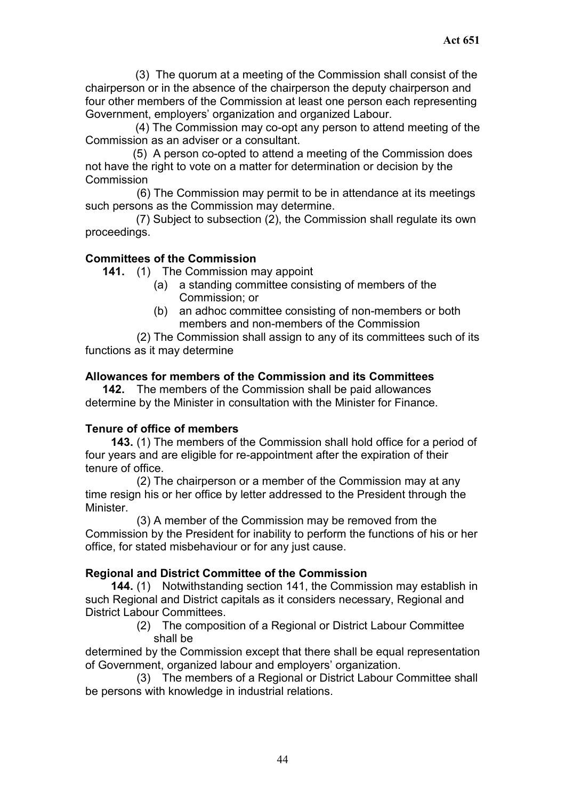(3) The quorum at a meeting of the Commission shall consist of the chairperson or in the absence of the chairperson the deputy chairperson and four other members of the Commission at least one person each representing Government, employers' organization and organized Labour.

(4) The Commission may co-opt any person to attend meeting of the Commission as an adviser or a consultant.

(5) A person co-opted to attend a meeting of the Commission does not have the right to vote on a matter for determination or decision by the **Commission** 

 (6) The Commission may permit to be in attendance at its meetings such persons as the Commission may determine.

(7) Subject to subsection (2), the Commission shall regulate its own proceedings.

## **Committees of the Commission**

 **141.** (1) The Commission may appoint

- (a) a standing committee consisting of members of the Commission; or
- (b) an adhoc committee consisting of non-members or both members and non-members of the Commission

(2) The Commission shall assign to any of its committees such of its functions as it may determine

#### **Allowances for members of the Commission and its Committees**

**142.** The members of the Commission shall be paid allowances determine by the Minister in consultation with the Minister for Finance.

#### **Tenure of office of members**

 **143.** (1) The members of the Commission shall hold office for a period of four years and are eligible for re-appointment after the expiration of their tenure of office.

(2) The chairperson or a member of the Commission may at any time resign his or her office by letter addressed to the President through the Minister.

(3) A member of the Commission may be removed from the Commission by the President for inability to perform the functions of his or her office, for stated misbehaviour or for any just cause.

#### **Regional and District Committee of the Commission**

**144.** (1) Notwithstanding section 141, the Commission may establish in such Regional and District capitals as it considers necessary, Regional and District Labour Committees.

> (2) The composition of a Regional or District Labour Committee shall be

determined by the Commission except that there shall be equal representation of Government, organized labour and employers' organization.

(3) The members of a Regional or District Labour Committee shall be persons with knowledge in industrial relations.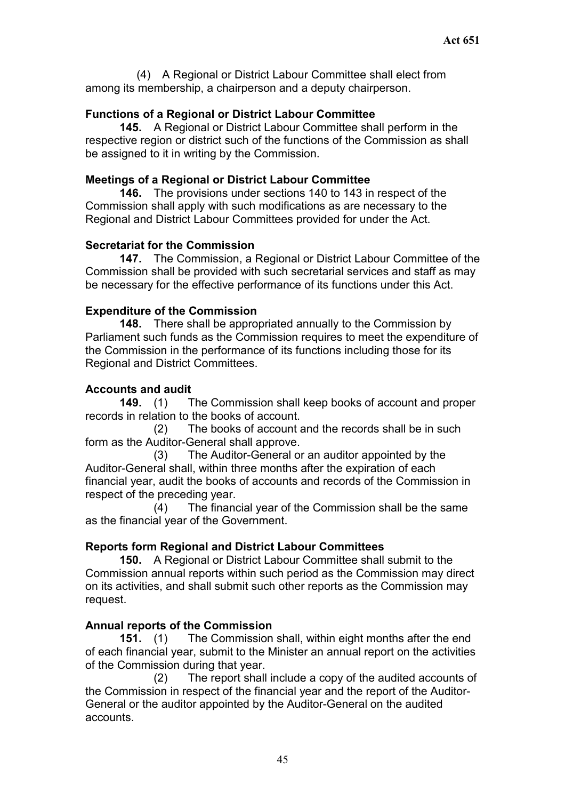(4) A Regional or District Labour Committee shall elect from among its membership, a chairperson and a deputy chairperson.

## **Functions of a Regional or District Labour Committee**

**145.** A Regional or District Labour Committee shall perform in the respective region or district such of the functions of the Commission as shall be assigned to it in writing by the Commission.

## **Meetings of a Regional or District Labour Committee**

**146.** The provisions under sections 140 to 143 in respect of the Commission shall apply with such modifications as are necessary to the Regional and District Labour Committees provided for under the Act.

## **Secretariat for the Commission**

**147.** The Commission, a Regional or District Labour Committee of the Commission shall be provided with such secretarial services and staff as may be necessary for the effective performance of its functions under this Act.

## **Expenditure of the Commission**

**148.** There shall be appropriated annually to the Commission by Parliament such funds as the Commission requires to meet the expenditure of the Commission in the performance of its functions including those for its Regional and District Committees.

# **Accounts and audit**

**149.** (1) The Commission shall keep books of account and proper records in relation to the books of account.

(2) The books of account and the records shall be in such form as the Auditor-General shall approve.

(3) The Auditor-General or an auditor appointed by the Auditor-General shall, within three months after the expiration of each financial year, audit the books of accounts and records of the Commission in respect of the preceding year.

(4) The financial year of the Commission shall be the same as the financial year of the Government.

# **Reports form Regional and District Labour Committees**

**150.** A Regional or District Labour Committee shall submit to the Commission annual reports within such period as the Commission may direct on its activities, and shall submit such other reports as the Commission may request.

# **Annual reports of the Commission**

**151.** (1) The Commission shall, within eight months after the end of each financial year, submit to the Minister an annual report on the activities of the Commission during that year.

(2) The report shall include a copy of the audited accounts of the Commission in respect of the financial year and the report of the Auditor-General or the auditor appointed by the Auditor-General on the audited accounts.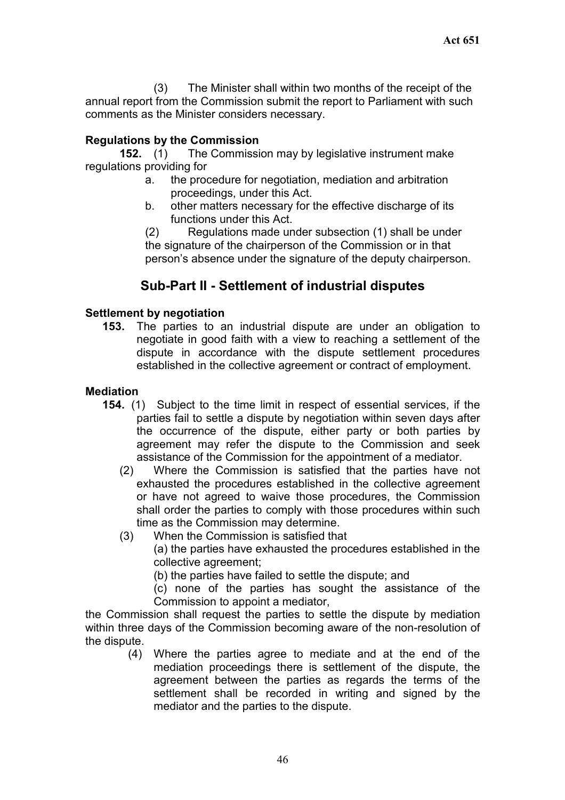(3) The Minister shall within two months of the receipt of the annual report from the Commission submit the report to Parliament with such comments as the Minister considers necessary.

## **Regulations by the Commission**

**152.** (1) The Commission may by legislative instrument make regulations providing for

- a. the procedure for negotiation, mediation and arbitration proceedings, under this Act.
- b. other matters necessary for the effective discharge of its functions under this Act.

(2) Regulations made under subsection (1) shall be under the signature of the chairperson of the Commission or in that person's absence under the signature of the deputy chairperson.

# **Sub-Part II - Settlement of industrial disputes**

## **Settlement by negotiation**

**153.** The parties to an industrial dispute are under an obligation to negotiate in good faith with a view to reaching a settlement of the dispute in accordance with the dispute settlement procedures established in the collective agreement or contract of employment.

## **Mediation**

- **154.** (1) Subject to the time limit in respect of essential services, if the parties fail to settle a dispute by negotiation within seven days after the occurrence of the dispute, either party or both parties by agreement may refer the dispute to the Commission and seek assistance of the Commission for the appointment of a mediator.
	- (2) Where the Commission is satisfied that the parties have not exhausted the procedures established in the collective agreement or have not agreed to waive those procedures, the Commission shall order the parties to comply with those procedures within such time as the Commission may determine.
	- (3) When the Commission is satisfied that

(a) the parties have exhausted the procedures established in the collective agreement;

(b) the parties have failed to settle the dispute; and

(c) none of the parties has sought the assistance of the Commission to appoint a mediator,

the Commission shall request the parties to settle the dispute by mediation within three days of the Commission becoming aware of the non-resolution of the dispute.

(4) Where the parties agree to mediate and at the end of the mediation proceedings there is settlement of the dispute, the agreement between the parties as regards the terms of the settlement shall be recorded in writing and signed by the mediator and the parties to the dispute.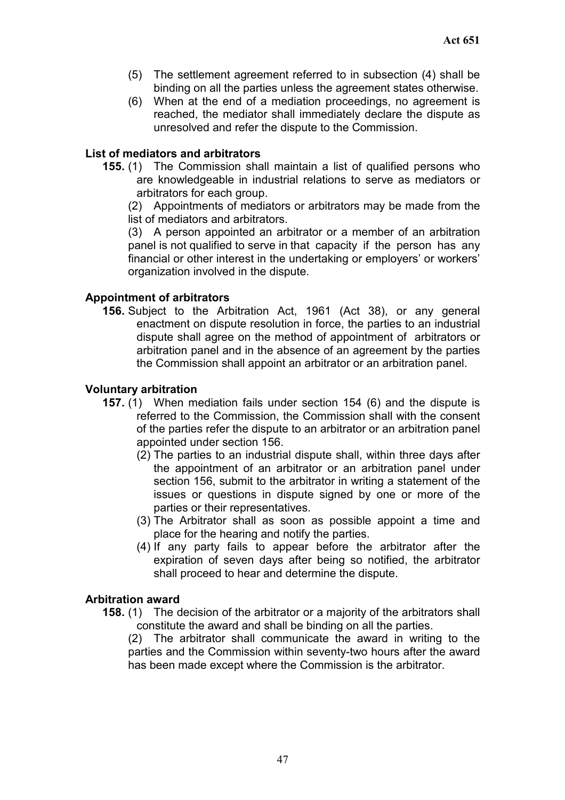- (5) The settlement agreement referred to in subsection (4) shall be binding on all the parties unless the agreement states otherwise.
- (6) When at the end of a mediation proceedings, no agreement is reached, the mediator shall immediately declare the dispute as unresolved and refer the dispute to the Commission.

#### **List of mediators and arbitrators**

**155.** (1) The Commission shall maintain a list of qualified persons who are knowledgeable in industrial relations to serve as mediators or arbitrators for each group.

(2) Appointments of mediators or arbitrators may be made from the list of mediators and arbitrators.

(3) A person appointed an arbitrator or a member of an arbitration panel is not qualified to serve in that capacity if the person has any financial or other interest in the undertaking or employers' or workers' organization involved in the dispute.

#### **Appointment of arbitrators**

**156.** Subject to the Arbitration Act, 1961 (Act 38), or any general enactment on dispute resolution in force, the parties to an industrial dispute shall agree on the method of appointment of arbitrators or arbitration panel and in the absence of an agreement by the parties the Commission shall appoint an arbitrator or an arbitration panel.

#### **Voluntary arbitration**

- **157.** (1) When mediation fails under section 154 (6) and the dispute is referred to the Commission, the Commission shall with the consent of the parties refer the dispute to an arbitrator or an arbitration panel appointed under section 156.
	- (2) The parties to an industrial dispute shall, within three days after the appointment of an arbitrator or an arbitration panel under section 156, submit to the arbitrator in writing a statement of the issues or questions in dispute signed by one or more of the parties or their representatives.
	- (3) The Arbitrator shall as soon as possible appoint a time and place for the hearing and notify the parties.
	- (4) If any party fails to appear before the arbitrator after the expiration of seven days after being so notified, the arbitrator shall proceed to hear and determine the dispute.

#### **Arbitration award**

**158.** (1) The decision of the arbitrator or a majority of the arbitrators shall constitute the award and shall be binding on all the parties.

(2) The arbitrator shall communicate the award in writing to the parties and the Commission within seventy-two hours after the award has been made except where the Commission is the arbitrator.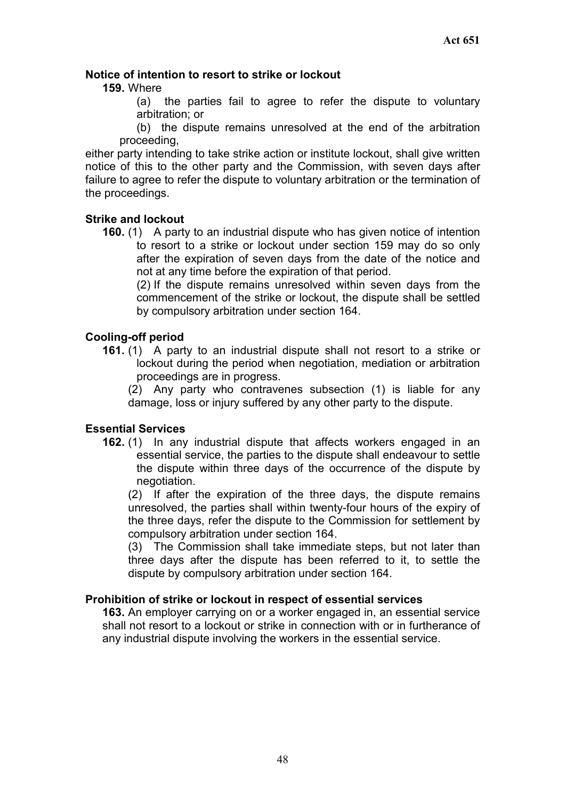## **Notice of intention to resort to strike or lockout**

#### **159.** Where

(a) the parties fail to agree to refer the dispute to voluntary arbitration; or

(b) the dispute remains unresolved at the end of the arbitration proceeding,

either party intending to take strike action or institute lockout, shall give written notice of this to the other party and the Commission, with seven days after failure to agree to refer the dispute to voluntary arbitration or the termination of the proceedings.

#### **Strike and lockout**

**160.** (1) A party to an industrial dispute who has given notice of intention to resort to a strike or lockout under section 159 may do so only after the expiration of seven days from the date of the notice and not at any time before the expiration of that period.

(2) If the dispute remains unresolved within seven days from the commencement of the strike or lockout, the dispute shall be settled by compulsory arbitration under section 164.

## **Cooling-off period**

**161.** (1) A party to an industrial dispute shall not resort to a strike or lockout during the period when negotiation, mediation or arbitration proceedings are in progress.

(2) Any party who contravenes subsection (1) is liable for any damage, loss or injury suffered by any other party to the dispute.

#### **Essential Services**

**162.** (1) In any industrial dispute that affects workers engaged in an essential service, the parties to the dispute shall endeavour to settle the dispute within three days of the occurrence of the dispute by negotiation.

(2) If after the expiration of the three days, the dispute remains unresolved, the parties shall within twenty-four hours of the expiry of the three days, refer the dispute to the Commission for settlement by compulsory arbitration under section 164.

(3) The Commission shall take immediate steps, but not later than three days after the dispute has been referred to it, to settle the dispute by compulsory arbitration under section 164.

#### **Prohibition of strike or lockout in respect of essential services**

**163.** An employer carrying on or a worker engaged in, an essential service shall not resort to a lockout or strike in connection with or in furtherance of any industrial dispute involving the workers in the essential service.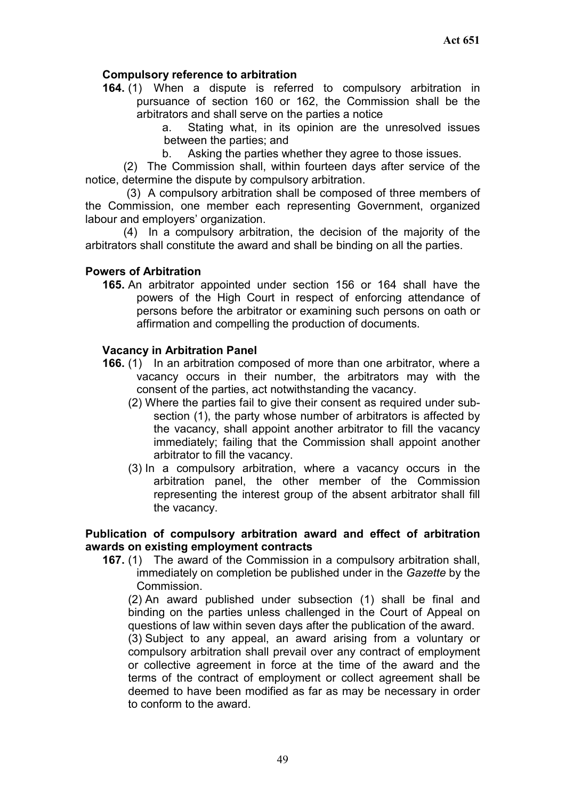## **Compulsory reference to arbitration**

**164.** (1) When a dispute is referred to compulsory arbitration in pursuance of section 160 or 162, the Commission shall be the arbitrators and shall serve on the parties a notice

a. Stating what, in its opinion are the unresolved issues between the parties; and

b. Asking the parties whether they agree to those issues.

(2) The Commission shall, within fourteen days after service of the notice, determine the dispute by compulsory arbitration.

(3) A compulsory arbitration shall be composed of three members of the Commission, one member each representing Government, organized labour and employers' organization.

(4) In a compulsory arbitration, the decision of the majority of the arbitrators shall constitute the award and shall be binding on all the parties.

#### **Powers of Arbitration**

**165.** An arbitrator appointed under section 156 or 164 shall have the powers of the High Court in respect of enforcing attendance of persons before the arbitrator or examining such persons on oath or affirmation and compelling the production of documents.

#### **Vacancy in Arbitration Panel**

- **166.** (1) In an arbitration composed of more than one arbitrator, where a vacancy occurs in their number, the arbitrators may with the consent of the parties, act notwithstanding the vacancy.
	- (2) Where the parties fail to give their consent as required under subsection (1), the party whose number of arbitrators is affected by the vacancy, shall appoint another arbitrator to fill the vacancy immediately; failing that the Commission shall appoint another arbitrator to fill the vacancy.
	- (3) In a compulsory arbitration, where a vacancy occurs in the arbitration panel, the other member of the Commission representing the interest group of the absent arbitrator shall fill the vacancy.

#### **Publication of compulsory arbitration award and effect of arbitration awards on existing employment contracts**

**167.** (1) The award of the Commission in a compulsory arbitration shall, immediately on completion be published under in the *Gazette* by the Commission.

(2) An award published under subsection (1) shall be final and binding on the parties unless challenged in the Court of Appeal on questions of law within seven days after the publication of the award.

(3) Subject to any appeal, an award arising from a voluntary or compulsory arbitration shall prevail over any contract of employment or collective agreement in force at the time of the award and the terms of the contract of employment or collect agreement shall be deemed to have been modified as far as may be necessary in order to conform to the award.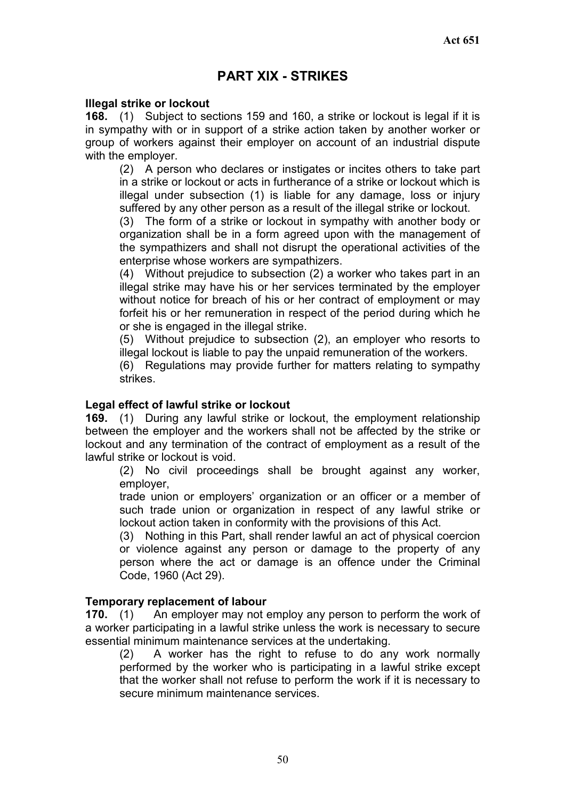# **PART XIX - STRIKES**

#### **Illegal strike or lockout**

**168.** (1) Subject to sections 159 and 160, a strike or lockout is legal if it is in sympathy with or in support of a strike action taken by another worker or group of workers against their employer on account of an industrial dispute with the employer.

(2) A person who declares or instigates or incites others to take part in a strike or lockout or acts in furtherance of a strike or lockout which is illegal under subsection (1) is liable for any damage, loss or injury suffered by any other person as a result of the illegal strike or lockout.

(3) The form of a strike or lockout in sympathy with another body or organization shall be in a form agreed upon with the management of the sympathizers and shall not disrupt the operational activities of the enterprise whose workers are sympathizers.

(4) Without prejudice to subsection (2) a worker who takes part in an illegal strike may have his or her services terminated by the employer without notice for breach of his or her contract of employment or may forfeit his or her remuneration in respect of the period during which he or she is engaged in the illegal strike.

(5) Without prejudice to subsection (2), an employer who resorts to illegal lockout is liable to pay the unpaid remuneration of the workers.

(6) Regulations may provide further for matters relating to sympathy strikes.

#### **Legal effect of lawful strike or lockout**

**169.** (1) During any lawful strike or lockout, the employment relationship between the employer and the workers shall not be affected by the strike or lockout and any termination of the contract of employment as a result of the lawful strike or lockout is void.

(2) No civil proceedings shall be brought against any worker, employer,

trade union or employers' organization or an officer or a member of such trade union or organization in respect of any lawful strike or lockout action taken in conformity with the provisions of this Act.

(3) Nothing in this Part, shall render lawful an act of physical coercion or violence against any person or damage to the property of any person where the act or damage is an offence under the Criminal Code, 1960 (Act 29).

#### **Temporary replacement of labour**

**170.** (1) An employer may not employ any person to perform the work of a worker participating in a lawful strike unless the work is necessary to secure essential minimum maintenance services at the undertaking.

(2) A worker has the right to refuse to do any work normally performed by the worker who is participating in a lawful strike except that the worker shall not refuse to perform the work if it is necessary to secure minimum maintenance services.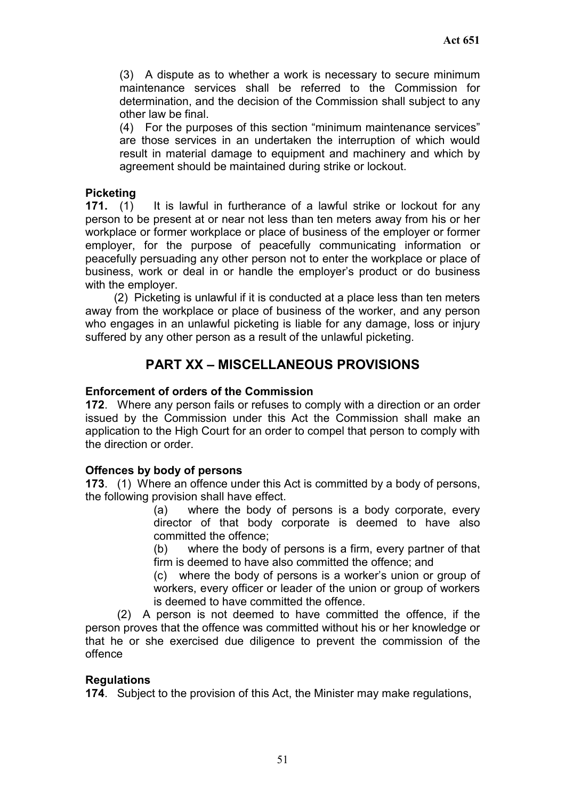(3) A dispute as to whether a work is necessary to secure minimum maintenance services shall be referred to the Commission for determination, and the decision of the Commission shall subject to any other law be final.

(4) For the purposes of this section "minimum maintenance services" are those services in an undertaken the interruption of which would result in material damage to equipment and machinery and which by agreement should be maintained during strike or lockout.

## **Picketing**

**171.** (1) It is lawful in furtherance of a lawful strike or lockout for any person to be present at or near not less than ten meters away from his or her workplace or former workplace or place of business of the employer or former employer, for the purpose of peacefully communicating information or peacefully persuading any other person not to enter the workplace or place of business, work or deal in or handle the employer's product or do business with the employer.

(2) Picketing is unlawful if it is conducted at a place less than ten meters away from the workplace or place of business of the worker, and any person who engages in an unlawful picketing is liable for any damage, loss or injury suffered by any other person as a result of the unlawful picketing.

# **PART XX – MISCELLANEOUS PROVISIONS**

## **Enforcement of orders of the Commission**

**172**. Where any person fails or refuses to comply with a direction or an order issued by the Commission under this Act the Commission shall make an application to the High Court for an order to compel that person to comply with the direction or order.

## **Offences by body of persons**

**173**. (1) Where an offence under this Act is committed by a body of persons, the following provision shall have effect.

(a) where the body of persons is a body corporate, every director of that body corporate is deemed to have also committed the offence;

(b) where the body of persons is a firm, every partner of that firm is deemed to have also committed the offence; and

(c) where the body of persons is a worker's union or group of workers, every officer or leader of the union or group of workers is deemed to have committed the offence.

(2) A person is not deemed to have committed the offence, if the person proves that the offence was committed without his or her knowledge or that he or she exercised due diligence to prevent the commission of the offence

#### **Regulations**

**174**. Subject to the provision of this Act, the Minister may make regulations,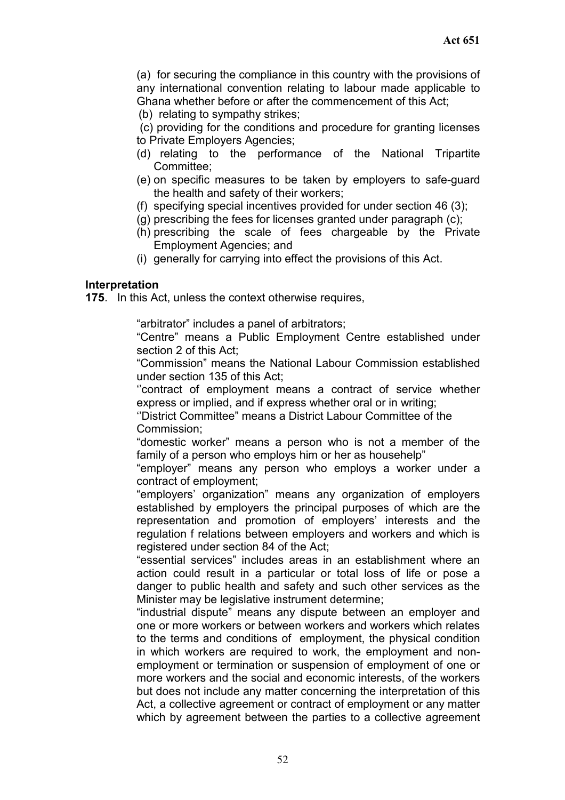(a) for securing the compliance in this country with the provisions of any international convention relating to labour made applicable to Ghana whether before or after the commencement of this Act;

(b) relating to sympathy strikes;

 (c) providing for the conditions and procedure for granting licenses to Private Employers Agencies;

- (d) relating to the performance of the National Tripartite Committee;
- (e) on specific measures to be taken by employers to safe-guard the health and safety of their workers;
- (f) specifying special incentives provided for under section 46 (3);
- (g) prescribing the fees for licenses granted under paragraph (c);
- (h) prescribing the scale of fees chargeable by the Private Employment Agencies; and
- (i) generally for carrying into effect the provisions of this Act.

#### **Interpretation**

**175**. In this Act, unless the context otherwise requires,

"arbitrator" includes a panel of arbitrators;

"Centre" means a Public Employment Centre established under section 2 of this Act;

"Commission" means the National Labour Commission established under section 135 of this Act;

''contract of employment means a contract of service whether express or implied, and if express whether oral or in writing;

''District Committee" means a District Labour Committee of the Commission;

"domestic worker" means a person who is not a member of the family of a person who employs him or her as househelp"

"employer" means any person who employs a worker under a contract of employment;

"employers' organization" means any organization of employers established by employers the principal purposes of which are the representation and promotion of employers' interests and the regulation f relations between employers and workers and which is registered under section 84 of the Act;

"essential services" includes areas in an establishment where an action could result in a particular or total loss of life or pose a danger to public health and safety and such other services as the Minister may be legislative instrument determine;

"industrial dispute" means any dispute between an employer and one or more workers or between workers and workers which relates to the terms and conditions of employment, the physical condition in which workers are required to work, the employment and nonemployment or termination or suspension of employment of one or more workers and the social and economic interests, of the workers but does not include any matter concerning the interpretation of this Act, a collective agreement or contract of employment or any matter which by agreement between the parties to a collective agreement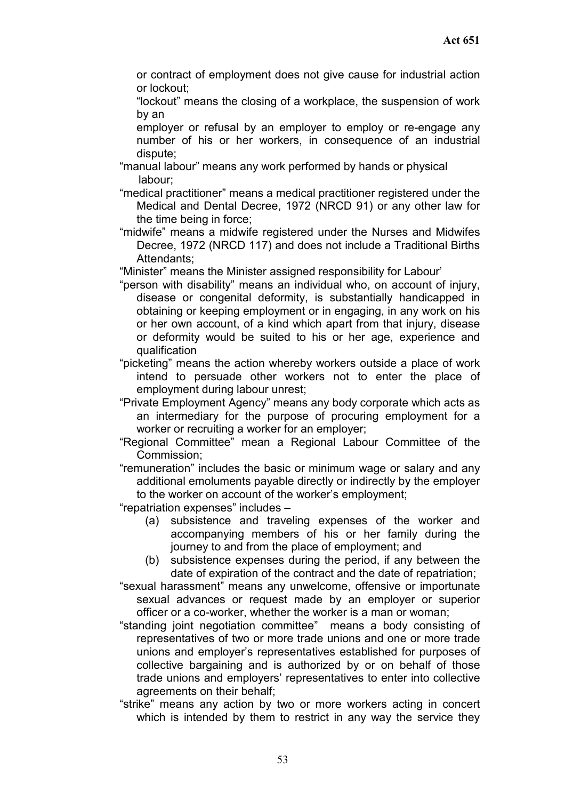or contract of employment does not give cause for industrial action or lockout;

"lockout" means the closing of a workplace, the suspension of work by an

employer or refusal by an employer to employ or re-engage any number of his or her workers, in consequence of an industrial dispute;

"manual labour" means any work performed by hands or physical labour;

 "medical practitioner" means a medical practitioner registered under the Medical and Dental Decree, 1972 (NRCD 91) or any other law for the time being in force;

"midwife" means a midwife registered under the Nurses and Midwifes Decree, 1972 (NRCD 117) and does not include a Traditional Births Attendants;

"Minister" means the Minister assigned responsibility for Labour'

- "person with disability" means an individual who, on account of injury, disease or congenital deformity, is substantially handicapped in obtaining or keeping employment or in engaging, in any work on his or her own account, of a kind which apart from that injury, disease or deformity would be suited to his or her age, experience and qualification
- "picketing" means the action whereby workers outside a place of work intend to persuade other workers not to enter the place of employment during labour unrest;

"Private Employment Agency" means any body corporate which acts as an intermediary for the purpose of procuring employment for a worker or recruiting a worker for an employer;

"Regional Committee" mean a Regional Labour Committee of the Commission;

"remuneration" includes the basic or minimum wage or salary and any additional emoluments payable directly or indirectly by the employer to the worker on account of the worker's employment;

"repatriation expenses" includes –

- (a) subsistence and traveling expenses of the worker and accompanying members of his or her family during the journey to and from the place of employment; and
- (b) subsistence expenses during the period, if any between the date of expiration of the contract and the date of repatriation;

"sexual harassment" means any unwelcome, offensive or importunate sexual advances or request made by an employer or superior officer or a co-worker, whether the worker is a man or woman;

- "standing joint negotiation committee" means a body consisting of representatives of two or more trade unions and one or more trade unions and employer's representatives established for purposes of collective bargaining and is authorized by or on behalf of those trade unions and employers' representatives to enter into collective agreements on their behalf;
- "strike" means any action by two or more workers acting in concert which is intended by them to restrict in any way the service they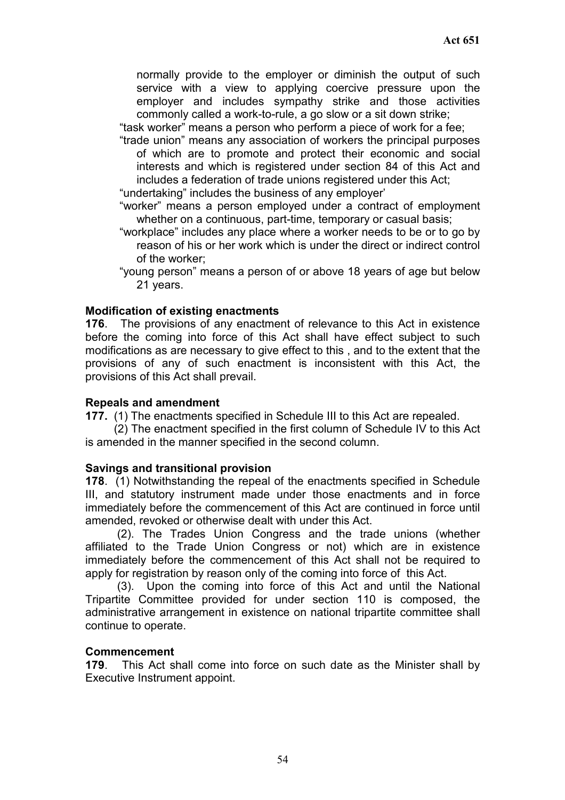normally provide to the employer or diminish the output of such service with a view to applying coercive pressure upon the employer and includes sympathy strike and those activities commonly called a work-to-rule, a go slow or a sit down strike;

"task worker" means a person who perform a piece of work for a fee;

"trade union" means any association of workers the principal purposes of which are to promote and protect their economic and social interests and which is registered under section 84 of this Act and includes a federation of trade unions registered under this Act;

"undertaking" includes the business of any employer'

- "worker" means a person employed under a contract of employment whether on a continuous, part-time, temporary or casual basis;
- "workplace" includes any place where a worker needs to be or to go by reason of his or her work which is under the direct or indirect control of the worker;
- "young person" means a person of or above 18 years of age but below 21 years.

#### **Modification of existing enactments**

**176**. The provisions of any enactment of relevance to this Act in existence before the coming into force of this Act shall have effect subject to such modifications as are necessary to give effect to this , and to the extent that the provisions of any of such enactment is inconsistent with this Act, the provisions of this Act shall prevail.

#### **Repeals and amendment**

**177.** (1) The enactments specified in Schedule III to this Act are repealed.

(2) The enactment specified in the first column of Schedule IV to this Act is amended in the manner specified in the second column.

#### **Savings and transitional provision**

**178**. (1) Notwithstanding the repeal of the enactments specified in Schedule III, and statutory instrument made under those enactments and in force immediately before the commencement of this Act are continued in force until amended, revoked or otherwise dealt with under this Act.

(2). The Trades Union Congress and the trade unions (whether affiliated to the Trade Union Congress or not) which are in existence immediately before the commencement of this Act shall not be required to apply for registration by reason only of the coming into force of this Act.

(3). Upon the coming into force of this Act and until the National Tripartite Committee provided for under section 110 is composed, the administrative arrangement in existence on national tripartite committee shall continue to operate.

#### **Commencement**

**179**. This Act shall come into force on such date as the Minister shall by Executive Instrument appoint.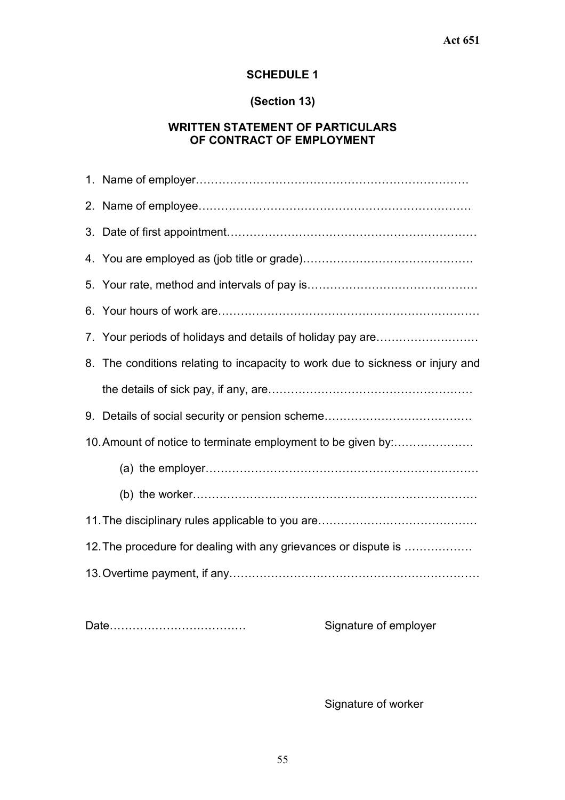# **SCHEDULE 1**

# **(Section 13)**

## **WRITTEN STATEMENT OF PARTICULARS OF CONTRACT OF EMPLOYMENT**

|                                                                 | 8. The conditions relating to incapacity to work due to sickness or injury and |  |
|-----------------------------------------------------------------|--------------------------------------------------------------------------------|--|
|                                                                 |                                                                                |  |
|                                                                 |                                                                                |  |
| 10. Amount of notice to terminate employment to be given by:    |                                                                                |  |
|                                                                 |                                                                                |  |
|                                                                 |                                                                                |  |
|                                                                 |                                                                                |  |
| 12. The procedure for dealing with any grievances or dispute is |                                                                                |  |
|                                                                 |                                                                                |  |
|                                                                 |                                                                                |  |

Date……………………………… Signature of employer

Signature of worker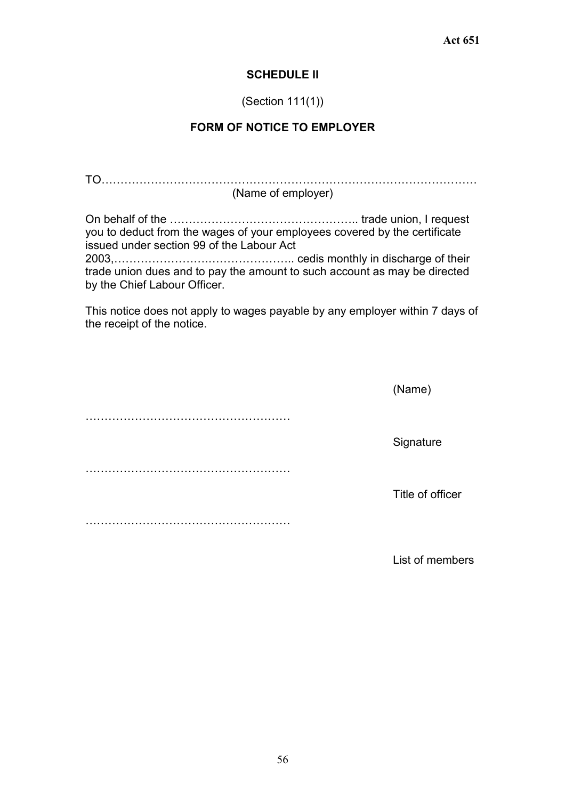#### **SCHEDULE II**

#### (Section 111(1))

## **FORM OF NOTICE TO EMPLOYER**

TO……………………………………………………………………………………… (Name of employer)

On behalf of the ………………………………………….. trade union, I request you to deduct from the wages of your employees covered by the certificate issued under section 99 of the Labour Act 2003,…………………….………………….. cedis monthly in discharge of their trade union dues and to pay the amount to such account as may be directed by the Chief Labour Officer.

This notice does not apply to wages payable by any employer within 7 days of the receipt of the notice.

| (Name)           |
|------------------|
|                  |
| Signature        |
|                  |
| Title of officer |
|                  |

List of members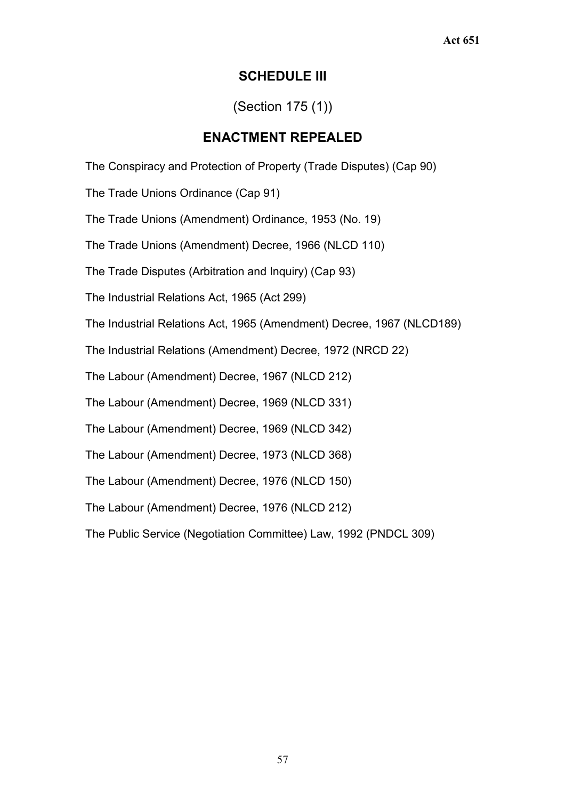# **SCHEDULE III**

# (Section 175 (1))

# **ENACTMENT REPEALED**

The Conspiracy and Protection of Property (Trade Disputes) (Cap 90)

The Trade Unions Ordinance (Cap 91)

The Trade Unions (Amendment) Ordinance, 1953 (No. 19)

The Trade Unions (Amendment) Decree, 1966 (NLCD 110)

The Trade Disputes (Arbitration and Inquiry) (Cap 93)

The Industrial Relations Act, 1965 (Act 299)

The Industrial Relations Act, 1965 (Amendment) Decree, 1967 (NLCD189)

The Industrial Relations (Amendment) Decree, 1972 (NRCD 22)

The Labour (Amendment) Decree, 1967 (NLCD 212)

The Labour (Amendment) Decree, 1969 (NLCD 331)

The Labour (Amendment) Decree, 1969 (NLCD 342)

The Labour (Amendment) Decree, 1973 (NLCD 368)

The Labour (Amendment) Decree, 1976 (NLCD 150)

The Labour (Amendment) Decree, 1976 (NLCD 212)

The Public Service (Negotiation Committee) Law, 1992 (PNDCL 309)